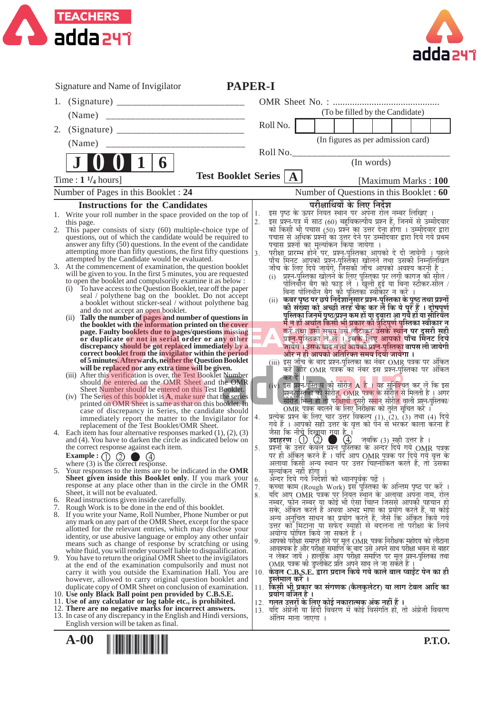



|    | <b>PAPER-I</b><br>Signature and Name of Invigilator                                                                                   |            |                                                                                                                                                   |
|----|---------------------------------------------------------------------------------------------------------------------------------------|------------|---------------------------------------------------------------------------------------------------------------------------------------------------|
| 1. |                                                                                                                                       |            |                                                                                                                                                   |
|    |                                                                                                                                       |            | (To be filled by the Candidate)                                                                                                                   |
|    |                                                                                                                                       |            | RollNo.                                                                                                                                           |
| 2. |                                                                                                                                       |            |                                                                                                                                                   |
|    |                                                                                                                                       |            | (In figures as per admission card)                                                                                                                |
|    |                                                                                                                                       |            | Roll No.<br>(In words)                                                                                                                            |
|    | 11<br>$\mathbf{6}$                                                                                                                    |            |                                                                                                                                                   |
|    | Time : $1 \frac{1}{4}$ hours]                                                                                                         |            | Test Booklet Series   A<br>[Maximum Marks: 100]                                                                                                   |
|    | Number of Pages in this Booklet: 24                                                                                                   |            | Number of Questions in this Booklet: 60                                                                                                           |
|    | <b>Instructions for the Candidates</b>                                                                                                |            | परीक्षार्थियों के लिए निर्देश                                                                                                                     |
|    | 1. Write your roll number in the space provided on the top of $ 1$ .                                                                  |            | इस पृष्ठ के ऊपर नियत स्थान पर अपना रोल नम्बर लिखिए ।                                                                                              |
|    | this page.<br>2. This paper consists of sixty (60) multiple-choice type of                                                            | 2.         | <br>इस प्रश्न-पत्र में साठ (60) बहुविकल्पीय प्रश्न हैं, जिनमें से उम्मीदवार<br>को किसी भी पचास (50) प्रश्ने का उत्तर देना होगा । उम्मीदवार द्वारा |
|    | questions, out of which the candidate would be required to                                                                            |            | पचास से अधिक प्रश्नों का उत्तर देने पर उम्मीदवार द्वारा दिये गये प्रथम                                                                            |
|    | answer any fifty (50) questions. In the event of the candidate<br>attempting more than fifty questions, the first fifty questions     | $\vert$ 3. | पचास प्रश्नों का मूल्यांकन किया जायेगा ।<br>परीक्षा प्रारम्भ होने पर, प्रश्न-पुस्तिका आपको दे दी जायेगी । पहले                                    |
|    | attempted by the Candidate would be evaluated.                                                                                        |            | पाँच मिनट आपको प्रश्न-पुस्तिका खोलने तथा उसकी निम्नुलिखित                                                                                         |
|    | 3. At the commencement of examination, the question booklet<br>will be given to you. In the first 5 minutes, you are requested        |            | जाँच के लिए दिये जायेंगे, जिसकी जाँच आपको अवश्य करनी है :<br>(i) प्रश्न-पुस्तिका खोलने के लिए पुस्तिका पर लगी कागज की सील /                       |
|    | to open the booklet and compulsorily examine it as below :                                                                            |            | पोलिर्थीनू बैग को फाड़ू लें । खुली हुई या बिना स्टीकर-सील /                                                                                       |
|    | To have access to the Question Booklet, tear off the paper<br>(i)<br>seal / polythene bag on the booklet. Do not accept               |            | बिना पोलिथीन बैग की पुस्तिकाँ स्वीकार न करें ।                                                                                                    |
|    | a booklet without sticker-seal / without polythene bag                                                                                |            | (ii) कवर पृष्ठ पर छपे निर्देशानुसार प्रश्न-पुस्तिका के पृष्ठु तथा प्रश्नों<br>की संख्या को अच्छी तरह चैक कर लैं कि ये पूरें हैं । दोषपूर्ण        |
|    | and do not accept an open booklet.<br>Tally the number of pages and number of questions in<br>(ii)                                    |            | पुस्तिका जिनमें पृष्ठ/प्रश्नु कम हों या दुबारा आ गये हों या सीरियेल                                                                               |
|    | the booklet with the information printed on the cover<br>page. Faulty booklets due to pages/questions missing                         |            | में न हों अर्थात किसी भी प्रकार की त्रुटिपूर्ण पुस्तिका स्वीकार न्                                                                                |
|    | or duplicate or not in serial order or any other                                                                                      |            | करें तथा उसी समय उसे लौटाकर उसके स्थान पर दूसरी सही<br>प्रश्नु-पुस्तिका ले लें । इसके लिए आपको पाँच मिनट दिये                                     |
|    | discrepancy should be got replaced immediately by a<br>correct booklet from the invigilator within the period                         |            | जायेंगे । उसके बाद न तो आपकी प्रश्न-पुस्तिका वापस ली जायेगी<br>और न ही आपको अतिरिक्त समय दियाँ जायेगा ।                                           |
|    | of 5 minutes. Afterwards, neither the Question Booklet                                                                                |            |                                                                                                                                                   |
|    | will be replaced nor any extra time will be given.<br>(iii) After this verification is over, the Test Booklet Number                  |            | कर दें । $\qquad \qquad$                                                                                                                          |
|    | should be entered on the OMR Sheet and the OMR                                                                                        |            | (iv) इस प्रश्न-पुस्तिका की सीरीज़ A है । यह सुनिश्चित कर लें कि इस                                                                                |
|    | Sheet Number should be entered on this Test Booklet.<br>$(iv)$ The Series of this booklet is $A$ , make sure that the series          |            | प्रशन-पुस्तिका की सीरीज़, OMR पत्रक के सीरीज़ से मिलती है । अगर                                                                                   |
|    | printed on OMR Sheet is same as that on this booklet. In<br>case of discrepancy in Series, the candidate should                       |            | सीरीज़ भिन्न हो तो परीक्षार्थी दूसरी समान सीरीज़ वाली प्रश्न-पुस्तिका/<br>OMR पत्रक बदलने के लिए निरीक्षक को तुरंत सूचित करें ।                   |
|    | immediately report the matter to the Invigilator for                                                                                  | 4.         | प्रत्येक प्रश्न के लिए चार उत्तर विकल्प (1), (2), (3) तथा (4) दिये                                                                                |
|    | replacement of the Test Booklet/OMR Sheet.<br>4. Each item has four alternative responses marked $(1)$ , $(2)$ , $(3)$                |            | गये हैं । आपको सही उत्तर के वृत्त को पेन से भरकर काला करना है<br>जैसा कि नीचे दिखाया गया है ।                                                     |
|    | and (4). You have to darken the circle as indicated below on                                                                          |            | उदाहरण : 1 2 4 4 जबकि (3) सही उत्तर है ।<br>प्रश्नों के उत्तर केवल प्रश्न पुस्तिका के अन्दर दिये गये OMR पत्रक                                    |
|    | the correct response against each item.<br>Example: $\bigcirc$ $\bigcirc$ $\bigcirc$<br>(4)                                           | 5.         | पर ही अंकित् करने हैं । यदि आप OMR पुत्रक पर दिये गये वृत्त के                                                                                    |
|    | where $(3)$ is the correct response.                                                                                                  |            | अलावा किसी अन्य स्थान पर उत्तर चिह्नांकित करते है. तो उसका                                                                                        |
|    | 5. Your responses to the items are to be indicated in the OMR<br><b>Sheet given inside this Booklet only.</b> If you mark your        | 6.         | मूल्यांकन नहीं होगा ।<br>अन्दर दिये गये निर्देशों को ध्यानपूर्वक पढ़ें                                                                            |
|    | response at any place other than in the circle in the OMR                                                                             | 7.         | कच्चा काम (Rough Work) इस पुरितका के अन्तिम पृष्ठ पर करें ।                                                                                       |
|    | Sheet, it will not be evaluated.<br>6. Read instructions given inside carefully.                                                      | 8.         | यदि आप OMR पत्रक पर नियत स्थान के अलावा अपना नाम, रोल<br>नम्बर, फोन नम्बर या कोई भी ऐसा चिह्न जिससे आपकी पहचान हो                                 |
| 7. | Rough Work is to be done in the end of this booklet.<br>8. If you write your Name, Roll Number, Phone Number or put                   |            | सके, अंकित करते हैं अथवा अभद्र भाषा का प्रयोग करते हैं, या कोई                                                                                    |
|    | any mark on any part of the OMR Sheet, except for the space                                                                           |            | अन्य अनुचित साधन का प्रयोग करते हैं, जैसे कि अंकित किये गये<br>उत्तर कोँ मिटाना या सफेद स्याही से बदलना तो परीक्षा के लिये                        |
|    | allotted for the relevant entries, which may disclose your<br>identity, or use abusive language or employ any other unfair            |            | अयोग्य घोषित किये जा सकते हैं ।                                                                                                                   |
|    | means such as change of response by scratching or using                                                                               | 9.         | आपको परीक्षा समाप्त होने पर मूल OMR पत्रक निरीक्षक महोदय को लौटाना<br>आवश्यक है और परीक्षा समाप्ति के बाद उसे अपने साथ परीक्षा भवन से बाहर        |
|    | white fluid, you will render yourself liable to disqualification.<br>9. You have to return the original OMR Sheet to the invigilators |            | न लेकर जाये । हालांकि आप परीक्षा समाप्ति पर मूल प्रश्न-पुस्तिका तथा                                                                               |
|    | at the end of the examination compulsorily and must not                                                                               |            | OMR पत्रक की डुप्लीकेट प्रति अपने साथ ले जा सकते है                                                                                               |
|    | carry it with you outside the Examination Hall. You are<br>however, allowed to carry original question booklet and                    |            | 10. केवल C.B.S.E. द्वारा प्रदान किये गये काले बाल प्वाईंट पेन का ही<br>इस्तमाल करे ।                                                              |
|    | duplicate copy of OMR Sheet on conclusion of examination.                                                                             |            | 11. किसी भी प्रकार का संगणक (कैलकुलेटर) या लाग टेबल आदि का                                                                                        |
|    | 10. Use only Black Ball point pen provided by C.B.S.E.<br>11. Use of any calculator or log table etc., is prohibited.                 |            | प्रयोग वर्जित है ।<br>12. गलत उत्तरों के लिए कोई नकारात्मक अंक नहीं हैं ।                                                                         |
|    | 12. There are no negative marks for incorrect answers.<br>13. In case of any discrepancy in the English and Hindi versions,           |            | 13. यदि अंग्रेजी या हिंदी विवरण में कोई विसंगति हो, तो अंग्रेजी विवरण                                                                             |
|    | English version will be taken as final.                                                                                               |            | अतिम माना जाएगा ।                                                                                                                                 |
|    | $A-00$                                                                                                                                |            | <b>P.T.O.</b>                                                                                                                                     |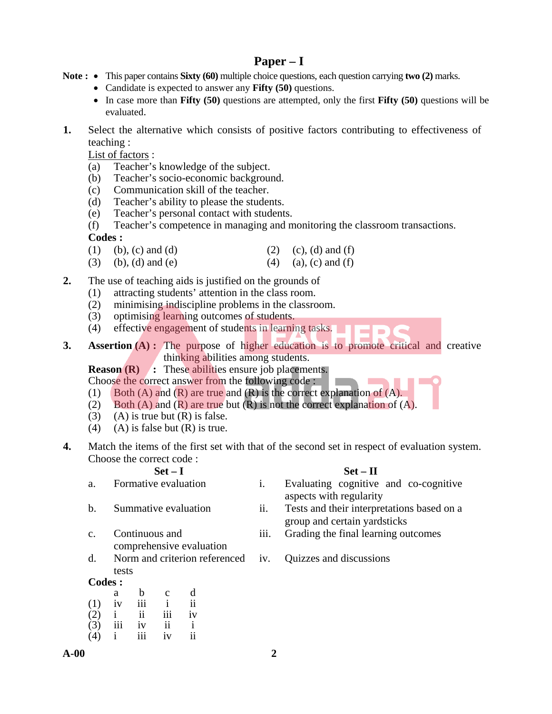# **Paper – I**

- **Note :** This paper contains **Sixty (60)** multiple choice questions, each question carrying **two (2)** marks.
	- Candidate is expected to answer any **Fifty (50)** questions.
	- In case more than **Fifty (50)** questions are attempted, only the first **Fifty (50)** questions will be evaluated.
- **1.** Select the alternative which consists of positive factors contributing to effectiveness of teaching :

List of factors :

- (a) Teacher's knowledge of the subject.
- (b) Teacher's socio-economic background.
- (c) Communication skill of the teacher.
- (d) Teacher's ability to please the students.
- (e) Teacher's personal contact with students.

 (f) Teacher's competence in managing and monitoring the classroom transactions. **Codes :** 

- (1) (b), (c) and (d) (2) (c), (d) and (f)
- (3) (b), (d) and (e) (4) (a), (c) and (f)

**2.** The use of teaching aids is justified on the grounds of

- (1) attracting students' attention in the class room.
- (2) minimising indiscipline problems in the classroom.
- (3) optimising learning outcomes of students.
- (4) effective engagement of students in learning tasks. المستور
- **3. Assertion (A) :** The purpose of higher education is to promote critical and creative thinking abilities among students.

**Reason (R)** : These abilities ensure job placements.

- Choose the correct answer from the following code :
- (1) Both (A) and  $(R)$  are true and  $(R)$  is the correct explanation of  $(A)$ .
- (2) Both (A) and (R) are true but (R) is not the correct explanation of  $(A)$ .
- (3) (A) is true but  $(R)$  is false.
- (4) (A) is false but  $(R)$  is true.
- **4.** Match the items of the first set with that of the second set in respect of evaluation system. Choose the correct code :

# Set – I Set – II

- 
- c. Continuous and comprehensive evaluation
- d. Norm and criterion referenced tests
- **Codes :**

|     | a            | b   | $\mathbf{c}$     | d             |
|-----|--------------|-----|------------------|---------------|
| (1) | iv           | 111 |                  | $\mathbf{ii}$ |
| (2) | $\mathbf{i}$ | ii  | $\overline{111}$ | iv            |
| (3) | iii          | iv  | ii               |               |
| (4) | i.           | iii | iv               | ii            |

- 
- 

 $\blacksquare$ 

- a. Formative evaluation i. Evaluating cognitive and co-cognitive aspects with regularity
- b. Summative evaluation ii. Tests and their interpretations based on a group and certain yardsticks
	- iii. Grading the final learning outcomes
	- iv. Quizzes and discussions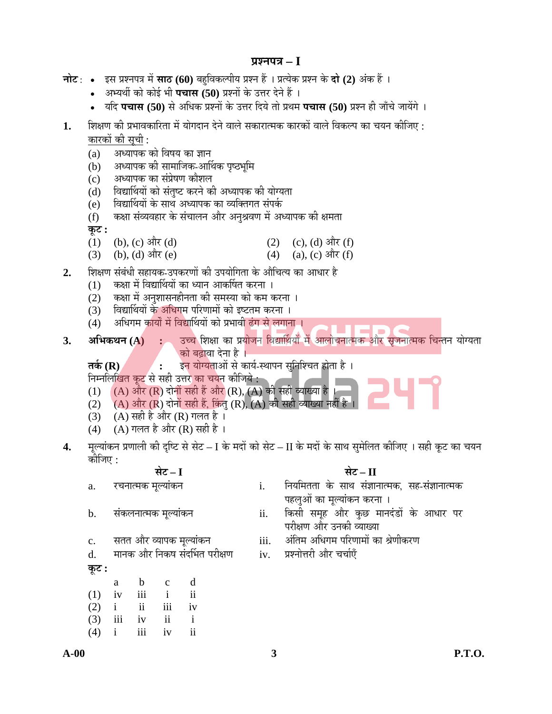# **¯ÖÏ¿®Ö¯Ö¡Ö – I**

|    | <b>नोट</b> : • इस प्रश्नपत्र में <b>साठ (60</b> ) बहुविकल्पीय प्रश्न हैं । प्रत्येक प्रश्न के <b>दो (2)</b> अंक हैं । |              |                                    |              |                                                                                                   |            |                                                                                                          |
|----|-----------------------------------------------------------------------------------------------------------------------|--------------|------------------------------------|--------------|---------------------------------------------------------------------------------------------------|------------|----------------------------------------------------------------------------------------------------------|
|    |                                                                                                                       |              |                                    |              | अभ्यर्थी को कोई भी <b>पचास (50)</b> प्रश्नों के उत्तर देने हैं ।                                  |            |                                                                                                          |
|    | $\bullet$                                                                                                             |              |                                    |              |                                                                                                   |            | यदि पचास (50) से अधिक प्रश्नों के उत्तर दिये तो प्रथम पचास (50) प्रश्न ही जाँचे जायेंगे ।                |
| 1. | शिक्षण की प्रभावकारिता में योगदान देने वाले सकारात्मक कारकों वाले विकल्प का चयन कीजिए :                               |              |                                    |              |                                                                                                   |            |                                                                                                          |
|    | <u>कारकों की सूची :</u>                                                                                               |              |                                    |              |                                                                                                   |            |                                                                                                          |
|    | (a)                                                                                                                   |              |                                    |              | अध्यापक को विषय का ज्ञान                                                                          |            |                                                                                                          |
|    | (b)                                                                                                                   |              |                                    |              | अध्यापक की सामाजिक-आर्थिक पृष्ठभूमि                                                               |            |                                                                                                          |
|    | (c)                                                                                                                   |              |                                    |              | अध्यापक का संप्रेषण कौशल                                                                          |            |                                                                                                          |
|    | (d)                                                                                                                   |              |                                    |              | विद्यार्थियों को संतुष्ट करने की अध्यापक की योग्यता                                               |            |                                                                                                          |
|    | (e)                                                                                                                   |              |                                    |              | विद्यार्थियों के साथ अध्यापक का व्यक्तिगत संपर्क                                                  |            |                                                                                                          |
|    | (f)                                                                                                                   |              |                                    |              |                                                                                                   |            | कक्षा संव्यवहार के संचालन और अनुश्रवण में अध्यापक की क्षमता                                              |
|    | कूट :                                                                                                                 |              |                                    |              |                                                                                                   |            |                                                                                                          |
|    | (1)<br>(3)                                                                                                            |              | (b), (c) और (d)<br>(b), (d) और (e) |              |                                                                                                   | (2)<br>(4) | (c), (d) और (f)<br>(a), (c) और (f)                                                                       |
|    |                                                                                                                       |              |                                    |              |                                                                                                   |            |                                                                                                          |
| 2. |                                                                                                                       |              |                                    |              |                                                                                                   |            | शिक्षण संबंधी सहायक-उपकरणों की उपयोगिता के औचित्य का आधार है                                             |
|    | (1)                                                                                                                   |              |                                    |              | कक्षा में विद्यार्थियों का ध्यान आकर्षित करना ।                                                   |            |                                                                                                          |
|    | (2)                                                                                                                   |              |                                    |              | कक्षा में अनुशासनहीनता की समस्या को कम करना ।<br>विद्यार्थियों के अधिगम परिणामों को इष्टतम करना । |            |                                                                                                          |
|    | (3)<br>(4)                                                                                                            |              |                                    |              | अधिगम कार्यों में विद्यार्थियों को प्रभावी ढंग से लगाना ।                                         |            |                                                                                                          |
|    |                                                                                                                       |              |                                    |              |                                                                                                   |            |                                                                                                          |
| 3. |                                                                                                                       |              |                                    |              |                                                                                                   |            | अभिकथन (A) : उच्च शिक्षा का प्रयोजन विद्यार्थियों में आलोचनात्मक और सृजनात्मक चिन्तन योग्यता             |
|    |                                                                                                                       | तर्क $(R)$   |                                    |              | ्को बढ़ावा देना है ।                                                                              |            | इन योग्यताओं से कार्य-स्थापन सुनिश्चित होता है।                                                          |
|    |                                                                                                                       |              |                                    |              | निम्नलिखित कूट से सही उत्तर का चयन कीजिये :                                                       |            |                                                                                                          |
|    | (1)                                                                                                                   |              |                                    |              |                                                                                                   |            | (A) और (R) दोनों सही हैं और (R), (A) की सही व्याख्या है।                                                 |
|    | (2)                                                                                                                   |              |                                    |              |                                                                                                   |            | (A) और (R) दोनों सही हैं, किंतु (R), (A) की सही व्याख्या नहीं है ।                                       |
|    | (3)                                                                                                                   |              |                                    |              | $(A)$ सही है और $(R)$ गलत है ।                                                                    |            |                                                                                                          |
|    | (4)                                                                                                                   |              |                                    |              | $(A)$ गलत है और $(R)$ सही है)।                                                                    |            |                                                                                                          |
| 4. |                                                                                                                       |              |                                    |              |                                                                                                   |            | मूल्यांकन प्रणाली की दृष्टि से सेट – I के मदों को सेट – II के मदों के साथ सुमेलित कीजिए । सही कूट का चयन |
|    |                                                                                                                       | कीजिए :      |                                    |              |                                                                                                   |            |                                                                                                          |
|    |                                                                                                                       |              |                                    | सेट – I      |                                                                                                   |            | सेट – II                                                                                                 |
|    | a.                                                                                                                    |              | रचनात्मक मूल्यांकन                 |              |                                                                                                   | i.         | नियमितता के साथ संज्ञानात्मक, सह-संज्ञानात्मक                                                            |
|    |                                                                                                                       |              |                                    |              |                                                                                                   |            | पहलुओं का मूल्यांकन करना ।                                                                               |
|    | b.                                                                                                                    |              | संकलनात्मक मूल्यांकन               |              |                                                                                                   | ii.        | किसी समूह और कुछ मानदंडों के आधार पर                                                                     |
|    |                                                                                                                       |              |                                    |              |                                                                                                   |            | परीक्षण और उनकी व्याख्या                                                                                 |
|    | $\mathbf{c}$ .                                                                                                        |              |                                    |              | सतत और व्यापक मूल्यांकन                                                                           | iii.       | अंतिम अधिगम परिणामों का श्रेणीकरण                                                                        |
|    | d.                                                                                                                    |              |                                    |              | मानक और निकष संदर्भित परीक्षण                                                                     | iv.        | प्रश्नोत्तरी और चर्चाएँ                                                                                  |
|    | कूट :                                                                                                                 |              |                                    |              |                                                                                                   |            |                                                                                                          |
|    |                                                                                                                       | a            | $\mathbf b$                        | $\mathbf c$  | d                                                                                                 |            |                                                                                                          |
|    | (1)                                                                                                                   | iv           | iii                                | $\mathbf{i}$ | $\mathbf{ii}$                                                                                     |            |                                                                                                          |
|    | (2)                                                                                                                   | $\mathbf{1}$ | $\ddot{\mathbf{i}}$                | iii          | iv                                                                                                |            |                                                                                                          |

 (3) iii iv ii i (4) i iii iv ii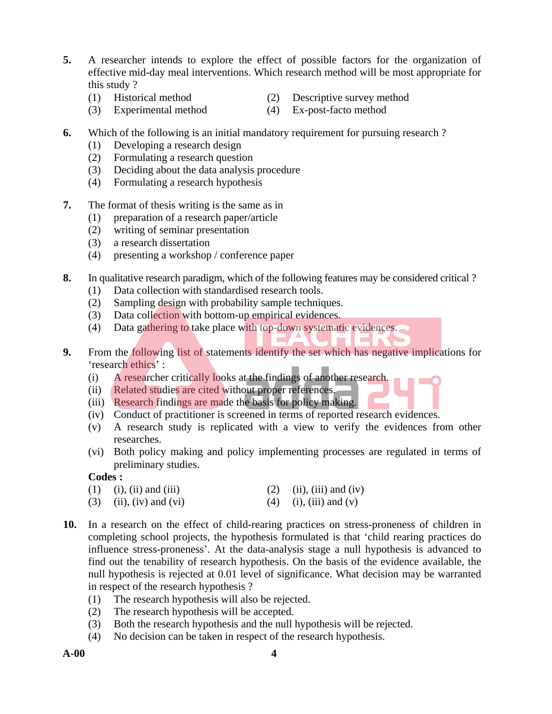- **5.** A researcher intends to explore the effect of possible factors for the organization of effective mid-day meal interventions. Which research method will be most appropriate for this study ?
	- (1) Historical method (2) Descriptive survey method
		-
	- (3) Experimental method (4) Ex-post-facto method
		-
- **6.** Which of the following is an initial mandatory requirement for pursuing research ?
	- (1) Developing a research design
	- (2) Formulating a research question
	- (3) Deciding about the data analysis procedure
	- (4) Formulating a research hypothesis
- **7.** The format of thesis writing is the same as in
	- (1) preparation of a research paper/article
	- (2) writing of seminar presentation
	- (3) a research dissertation
	- (4) presenting a workshop / conference paper
- **8.** In qualitative research paradigm, which of the following features may be considered critical ?
	- (1) Data collection with standardised research tools.
	- (2) Sampling design with probability sample techniques.
	- (3) Data collection with bottom-up empirical evidences.
	- (4) Data gathering to take place with top-down systematic evidences.
- **9.** From the following list of statements identify the set which has negative implications for 'research ethics' :
	- (i) A researcher critically looks at the findings of another research.
	- (ii) Related studies are cited without proper references.
	- (iii) Research findings are made the basis for policy making.
	- (iv) Conduct of practitioner is screened in terms of reported research evidences.
	- (v) A research study is replicated with a view to verify the evidences from other researches.
	- (vi) Both policy making and policy implementing processes are regulated in terms of preliminary studies.

### **Codes :**

- (1) (i), (ii) and (iii) (2) (ii), (iii) and (iv) (3) (ii), (iv) and (vi) (4) (i), (iii) and (v)
- **10.** In a research on the effect of child-rearing practices on stress-proneness of children in completing school projects, the hypothesis formulated is that 'child rearing practices do influence stress-proneness'. At the data-analysis stage a null hypothesis is advanced to find out the tenability of research hypothesis. On the basis of the evidence available, the null hypothesis is rejected at 0.01 level of significance. What decision may be warranted in respect of the research hypothesis ?
	- (1) The research hypothesis will also be rejected.
	- (2) The research hypothesis will be accepted.
	- (3) Both the research hypothesis and the null hypothesis will be rejected.
	- (4) No decision can be taken in respect of the research hypothesis.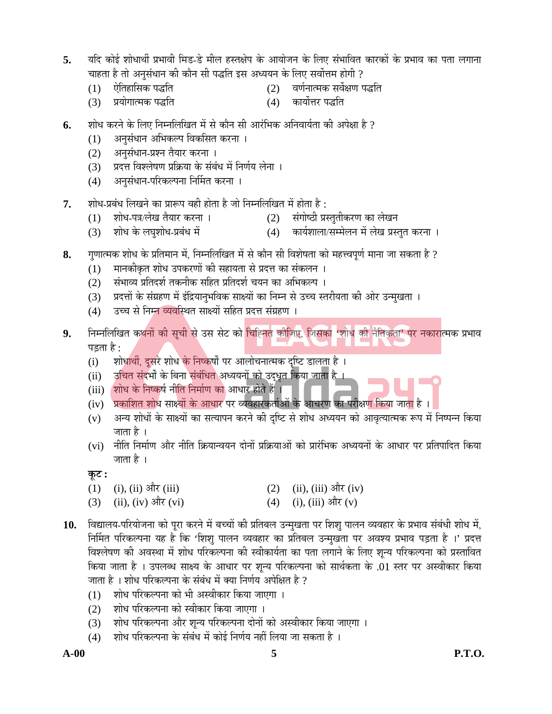- 5. यदि कोई शोधार्थी प्रभावी मिड-डे मील हस्तक्षेप के आयोजन के लिए संभावित कारकों के प्रभाव का पता लगाना चाहता है तो अनुसंधान की कौन सी पद्धति इस अध्ययन के लिए सर्वोत्तम होगी ?
	- (1) ‹ê×ŸÖÆÖ×ÃÖÛ ¯Ö¨×ŸÖ (2) ¾ÖÞÖÔ®ÖÖŸ´ÖÛ ÃÖ¾ÖìõÖÞÖ ¯Ö¨×ŸÖ
	- (3) प्रयोगात्मक पद्धति (4) कार्योत्तर पद्धति
- **6.** शोध करने के लिए निम्नलिखित में से कौन सी आरंभिक अनिवार्यता की अपेक्षा है ?
	- (1) अनुसंधान अभिकल्प विकसित करना ।
	- (2) अनुसंधान-प्रश्न तैयार करना ।
	- (3) प्रदत्त विश्लेषण प्रक्रिया के संबंध में निर्णय लेना ।
	- (4) अनुसंधान-परिकल्पना निर्मित करना ।
- 7. शोध-प्रबंध लिखने का प्रारूप वही होता है जो निम्नलिखित में होता है:
	- (1) शोध-पत्र/लेख तैयार करना । (2) संगोष्ठी प्रस्तुतीकरण का लेखन
	- (3) शोध के लघुशोध-प्रबंध में (4) कार्यशाला/सम्मेलन में लेख प्रस्तुत करना ।
- 8. गुणात्मक शोध के प्रतिमान में, निम्नलिखित में से कौन सी विशेषता को महत्त्वपूर्ण माना जा सकता है ?
	- (1) मानकीकृत शोध उपकरणों की सहायता से प्रदत्त का संकलन ।
	- (2) संभाव्य प्रतिदर्श तकनीक सहित प्रतिदर्श चयन का अभिकल्प ।
	- (3) प्रदत्तों के संग्रहण में इंद्रियानभविक साक्ष्यों का निम्न से उच्च स्तरीयता की ओर उन्मुखता ।
	- (4) उच्च से निम्न व्यवस्थित साक्ष्यों सहित प्रदत्त संग्रहण ।
- 9. निम्नलिखित कथनों की सूची से उस सेट को चिह्नित कीजिए, जिसका 'शोध की नैतिकता' पर नकारात्मक प्रभाव पड़ता है :
	- (i) शोधार्थी, दूसरे शोध के निष्कर्षों पर आलोचनात्मक दृष्टि डालता है)।
	- (ii) दचित संदर्भों के बिना संबंधित अध्ययनों को उद्धृत किया जाता है ।
	- (iii) शोध के निष्कर्ष नीति निर्माण का आधार होते हैं ।
	- (iv) प्रकाशित शोध साक्ष्यों के आधार पर व्यवहारकर्ताओं के आचरण का परीक्ष<mark>ण कि</mark>या जाता है ।
	- (v) अन्य शोधों के साक्ष्यों का सत्यापन करने की दृष्टि से शोध अध्ययन को आवृत्यात्मक रूप में निष्पन्न किया जाता है ।
	- (vi) नीति निर्माण और नीति क्रियान्वयन दोनों प्रक्रियाओं को प्रारंभिक अध्ययनों के आधार पर प्रतिपादित किया जाता है ।
	- $\overline{\phi}$ :
	- (1) (i), (ii) और (iii) (2) (ii), (iii) और (iv)
	- (3) (ii), (iv) और (vi) (4) (i), (iii) और (v)
- 10. विद्यालय-परियोजना को पूरा करने में बच्चों की प्रतिबल उन्मुखता पर शिशु पालन व्यवहार के प्रभाव संबंधी शोध में, निर्मित परिकल्पना यह है कि 'शिश् पालन व्यवहार का प्रतिबल उन्मुखता पर अवश्य प्रभाव पड़ता है ।' प्रदत्त विश्लेषण की अवस्था में शोध परिकल्पना की स्वीकार्यता का पता लगाने के लिए शून्य परिकल्पना को प्रस्तावित किया जाता है । उपलब्ध साक्ष्य के आधार पर शून्य परिकल्पना को सार्थकता के .01 स्तर पर अस्वीकार किया जाता है । शोध परिकल्पना के संबंध में क्या निर्णय अपेक्षित है ?
	- (1) शोध परिकल्पना को भी अस्वीकार किया जाएगा ।
	- (2) शोध परिकल्पना को स्वीकार किया जाएगा ।
	- (3) शोध परिकल्पना और शुन्य परिकल्पना दोनों को अस्वीकार किया जाएगा ।
	- (4) शोध परिकल्पना के संबंध में कोई निर्णय नहीं लिया जा सकता है ।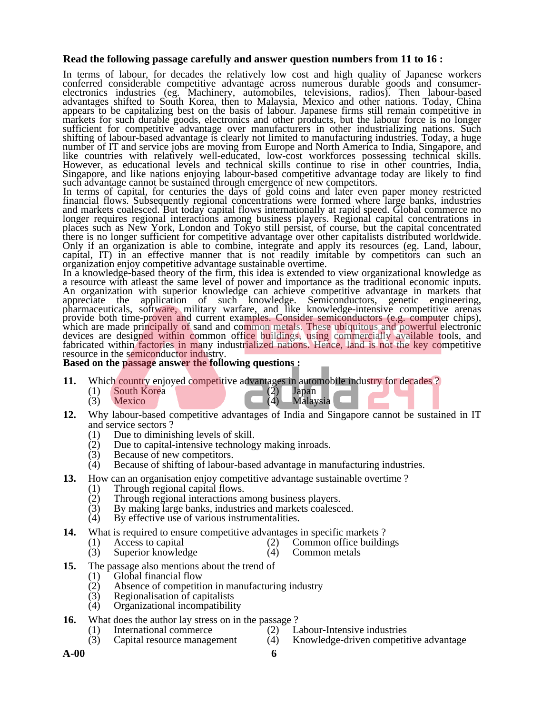#### **Read the following passage carefully and answer question numbers from 11 to 16 :**

In terms of labour, for decades the relatively low cost and high quality of Japanese workers conferred considerable competitive advantage across numerous durable goods and consumerelectronics industries (eg. Machinery, automobiles, televisions, radios). Then labour-based advantages shifted to South Korea, then to Malaysia, Mexico and other nations. Today, China appears to be capitalizing best on the basis of labour. Japanese firms still remain competitive in markets for such durable goods, electronics and other products, but the labour force is no longer sufficient for competitive advantage over manufacturers in other industrializing nations. Such shifting of labour-based advantage is clearly not limited to manufacturing industries. Today, a huge number of IT and service jobs are moving from Europe and North America to India, Singapore, and like countries with relatively well-educated, low-cost workforces possessing technical skills. However, as educational levels and technical skills continue to rise in other countries, India, Singapore, and like nations enjoying labour-based competitive advantage today are likely to find such advantage cannot be sustained through emergence of new competitors.

In terms of capital, for centuries the days of gold coins and later even paper money restricted financial flows. Subsequently regional concentrations were formed where large banks, industries and markets coalesced. But today capital flows internationally at rapid speed. Global commerce no longer requires regional interactions among business players. Regional capital concentrations in places such as New York, London and Tokyo still persist, of course, but the capital concentrated there is no longer sufficient for competitive advantage over other capitalists distributed worldwide. Only if an organization is able to combine, integrate and apply its resources (eg. Land, labour, capital, IT) in an effective manner that is not readily imitable by competitors can such an organization enjoy competitive advantage sustainable overtime.

In a knowledge-based theory of the firm, this idea is extended to view organizational knowledge as a resource with atleast the same level of power and importance as the traditional economic inputs. An organization with superior knowledge can achieve competitive advantage in markets that appreciate the application of such knowledge. Semiconductors, genetic engineering, pharmaceuticals, software, military warfare, and like knowledge-intensive competitive arenas provide both time-proven and current examples. Consider semiconductors (e.g. computer chips), which are made principally of sand and common metals. These ubiquitous and powerful electronic devices are designed within common office buildings, using commercially available tools, and devices are designed within common office buildings, using commercially available tools, and fabricated within factories in many industrialized nations. Hence, land is not the key competitive resource in the semiconductor

#### **Based on the passage answer the following questions :**

- **11.** Which country enjoyed competitive advantages in automobile industry for decades ?<br>(1) South Korea (2) Japan
	- (1) South Korea (2)  $(A)$  Japanese (2)
		-

Malaysia

- **12.** Why labour-based competitive advantages of India and Singapore cannot be sustained in IT and service sectors ?
	- (1) Due to diminishing levels of skill.<br>(2) Due to capital-intensive technolog
	- Due to capital-intensive technology making inroads.
	- (3) Because of new competitors.
	- (4) Because of shifting of labour-based advantage in manufacturing industries.
- **13.** How can an organisation enjoy competitive advantage sustainable overtime ?
	- (1) Through regional capital flows.<br>(2) Through regional interactions and
	- Through regional interactions among business players.
	- (3) By making large banks, industries and markets coalesced.
	- (4) By effective use of various instrumentalities.
- **14.** What is required to ensure competitive advantages in specific markets ?
	- (1) Access to capital (2) Common office buildings
		-
	- (3) Superior knowledge (4) Common metals
- **15.** The passage also mentions about the trend of
	- (1) Global financial flow
	- (2) Absence of competition in manufacturing industry
	- Regionalisation of capitalists
	- (4) Organizational incompatibility
- **16.** What does the author lay stress on in the passage ?
	-
- 
- (1) International commerce (2) Labour-Intensive industries<br>
(3) Capital resource management (4) Knowledge-driven competit (3) Capital resource management (4) Knowledge-driven competitive advantage
	-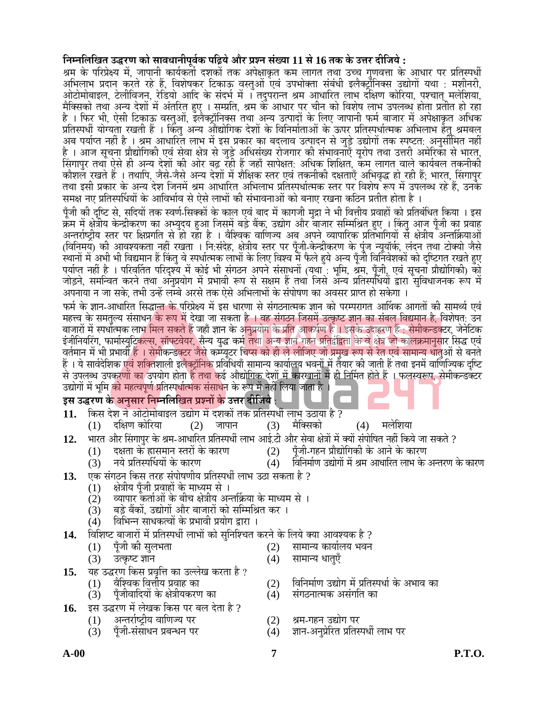# **×®Ö´®Ö×»Ö×ÜÖŸÖ ˆ¨¸ÞÖ Û Öê ÃÖÖ¾Ö¬ÖÖ®Öߝֿ¾ÖÔÛ ¯Öל̵Öê †Öî¸ ¯ÖÏ¿®Ö ÃÖÓܵÖÖ 11 ÃÖê 16 ŸÖÛ Ûê ˆ¢Ö¸ ¤ßוֵÖê :**

श्रम के परिप्रेक्ष्य में, जापानी कार्यकर्ता दशकों तक अपेक्षाकृत कम लागत तथा उच्च गुणवत्ता के आधार पर प्रतिस्पर्धी अभिलाभ प्रदान करते रहे हैं, विशेषकर टिकाऊ वस्तुओं एवं उपभोक्ता संबंधी इलैक्ट्राँनिक्स उद्योगों यथा : मशीनरी, ओटोमोबाइल, टेलीविजन, रेडियो आदि के संदर्भ में । तदुपरान्त श्रम आधारित लाभ दक्षिण कोरिया, पश्चात् मलेशिया,<br>मैक्सिको तथा अन्य देशों में अंतरित हुए । सम्प्रति, श्रम के आधार पर चीन को विशेष लाभ उपलब्ध होता प्रतीत हो रहा<br>है । प्रतिस्पर्धी योग्यता रखती हैं । किंतु अन्य औद्योगिक देशों के विनिर्माताओं के ऊपर प्रतिस्पर्धात्मक अभिलाभ हेतु श्रमबल<br>अब पर्याप्त नहीं है । श्रम आधारित लाभ में इस प्रकार का बदलाव उत्पादन से जुड़े उद्योगों तक स्पष्टत: अनुसी सिंगापुर तथा ऐसे ही अन्य देशों की ओर बढ़ रही हैं जहाँ सापेक्षत: अधिक शिक्षित, कॅम लागत वाले कार्यबल तकनीकी कोशल रखते हैं । तथापि, जैसे-जैसे अन्य देशों में शैक्षिक स्तर एवं तकनीकी दक्षताएँ अभिवृद्ध हो रही हैं; भारत, सिंगापुर<br>तथा इसी प्रकार के अन्य देश जिनमें श्रम आधारित अभिलाभ प्रतिस्पर्धात्मक स्तर पर विशेष रूप में उपलब्ध रहे ह समक्ष नए प्रतिर्स्पार्धियों के आविर्भाव से ऐसे लाभों की संभावनाओं को बनाए रखना कठिन प्रतीत होता है ।

पूँजी की दृष्टि से, सदियों तक स्वर्ण-सिक्कों के काल एवं बाद में कागजी मुद्रा ने भी वित्तीय प्रवाहों को प्रतिबंधित किया । इस क्रम में क्षेत्रीय केन्द्रीकरण का अभ्युदय हुआ जिसमें बड़े बैंक, उद्योग और बाजार सम्मिश्रित हुए । किंतु आज पूँजी का प्रवाह<br>अन्तर्राष्ट्रीय स्तर पर क्षिप्रगति से हो रहा है । वैश्विक वाणिज्य अब अपने व्यापारिक प्रतिभागियों से (विनिमय) की आवश्यकता नहीं रखता । नि:संदेह, क्षेत्रीय स्तर पर पूँजी-केन्द्रीकरण के पुंज न्यूयॉर्क, लंदन तथा टोक्यो जैसे स्थानों में अभी भी विद्यमान हैं किंतु वे स्पर्धात्मक लाभों के लिए विश्व में फैले हुये अन्य पूँजी विनिवेशकों को दृष्टिगत रखते हुए<br>पर्याप्त नहीं है । परिवर्तित परिदृश्य में कोई भी संगठन अपने संसाधनों (यथा : भूमि, श्रम, पूँज

फर्म के ज्ञान-आधारित सिद्धान्त के परिप्रेक्ष्य में इस धारणा से संगठनात्मक ज्ञान को परम्परागत आर्थिक आगतों की सामर्थ्य एवं महत्त्व के समतल्य संसाधन के रूप में देखा जा सकता है । वह संगठन जिसमें उत्कृष्ट ज्ञान का संबल विद्यमान है. विशेषत: उन बाजारों में स्पर्धात्मक लाभ मिल सकते हैं जहाँ ज्ञान के अनुप्रयोग के प्रति आकर्षण है । इसके उदाहरण हैं : सेमीकन्डक्टर, जेनेटिक<br>इंजीनियरिंग, फार्मास्युटिकल्स, सॉफ्टवेयर, सैन्य युद्ध कर्म तथा अन्य ज्ञान गहन प्रतिद्वंद्विता क वर्तमान में भी प्रभावी हैं । सेमीकन्डक्टर जैसे कम्प्यूटर चिप्स को ही ले लीजिए जो प्रमुख रूप से रेत एवं सामान्य धातुओं से बनते<br>हैं । ये सार्वदेशिक एवं शक्तिशाली इलैक्ट्रॉनिक प्रविधियाँ सामान्य कार्यालय भवनों में तैयार की ज उद्योगों में भूमि को महत्वपूर्ण प्रतिस्पर्धात्मक संसाधन के रूप में नहीं लिया जाता है ।

# इस उद्धरण के अनुसार निम्नलिखित प्रश्नों के उत्तर दीजिये :

- 11. किस देश ने ओटोमोबाइल उद्योग में दशकों तक प्रतिस्पर्धी लाभ उठाया है ?<br>(1) दक्षिण कोरिया (2) जापान (3) मैक्सिको
	- $(2)$  जापान  $(3)$  मैक्सिको  $(4)$  मलेशिया
- 1**2.** भारत और सिंगापुर के श्रम-आधारित प्रतिस्पर्धी लाभ आई.टी और सेवा क्षेत्रों में क्यों संपोषित नहीं किये जा सकते ?<br>(1) दक्षता के ह्रासमान स्तरों के कारण (2) पूँजी-गहन प्रौद्योगिकी के आने के कारण
	-
- 
- (1) दक्षता के ह्रासमान स्तरों के कारण (2) पूँजी-गहन प्रौद्योगिकी के आने के कारण<br>(3) नये प्रतिस्पर्धियों के कारण (4) विनिर्माण उद्योगों में श्रम आधारित लाभ के िविनिर्माण उद्योगों में श्रम आधारित लाभ के अन्तरण के कारण
- 13. **[** एक संगठन किस तरह संपोषणीय प्रतिस्पर्धी लाभ उठा सकता है ?
	-
	- (1) क्षेत्रीय पूँजी प्रवाहों के माध्यम से ।<br>(2) व्यापार कर्ताओं के बीच क्षेत्रीय अन (2) व्यापार कर्ताओं के बीच क्षेत्रीय अन्तर्क्रिया के माध्यम से ।<br>(3) बड़े बैंकों, उद्योगों और बाजारों को सम्मिश्रित कर ।
	- (3) बड़े बैंकों, उद्योगों और बाजारों को सम्मिश्रित कर ।<br>(4) विभिन्न साधकत्वों के प्रभावी प्रयोग द्वारा ।
	- ं विभिन्न साधकत्वों के प्रभावी प्रयोग द्वारा ।

# **14.** ×¾Ö׿Ö™ ²ÖÖ•ÖÖ¸Öë ´Öë ¯ÖÏןÖï֬Öá »ÖÖ³ÖÖë Û Öê ÃÖã×®Ö׿"ÖŸÖ Û ¸®Öê Ûê ×»ÖµÖê ŒµÖÖ †Ö¾Ö¿µÖÛ Æî ?

- (1) पॅजी की सुलभता (2) सामान्य कार्यालय भवन
- (3) उत्कृष्ट ज्ञान (4) सामान्य धात्एँ
- **15.** यह उद्धरण किस प्रवृत्ति का उल्लेख करता है ?<br>(1) वैश्विक वित्तीय प्रवाह का
	-
	- पूँजीवादियों के क्षेत्रीयकरण का
- **16.** ‡ÃÖ ˆ¨¸ÞÖ ´Öë »ÖêÜÖÛ ×Û ÃÖ ¯Ö¸ ²Ö»Ö ¤êŸÖÖ Æî ?
	- अन्तर्राष्ट्रीय वाणिज्य पर (2) श्रम-गहन उद्योग पर<br>पूँजी-संसाधन प्रबन्धन पर (4) ज्ञान-अनुप्रेरित प्रतिर
		- (3) पूँजी-संसाधन प्रबन्धन पर (4) ज्ञान-अनुप्रेरित प्रतिस्पर्धी लाभ पर
- (1) वैश्विक वित्तीय प्रवाह का (2) विनिर्माण उद्योग में प्रतिस्पर्धा के अभाव का<br>(3) पूँजीवादियों के क्षेत्रीयकरण का (4) संगठनात्मक असंगति का
	-
	-
	-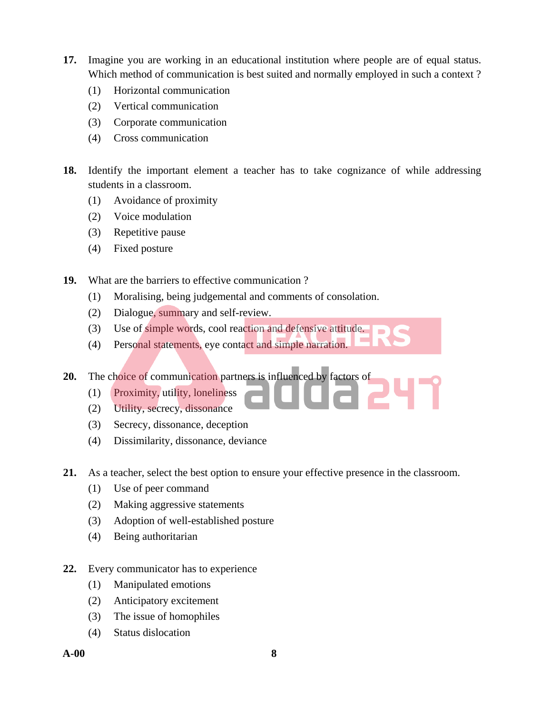- **17.** Imagine you are working in an educational institution where people are of equal status. Which method of communication is best suited and normally employed in such a context ?
	- (1) Horizontal communication
	- (2) Vertical communication
	- (3) Corporate communication
	- (4) Cross communication
- **18.** Identify the important element a teacher has to take cognizance of while addressing students in a classroom.
	- (1) Avoidance of proximity
	- (2) Voice modulation
	- (3) Repetitive pause
	- (4) Fixed posture
- **19.** What are the barriers to effective communication ?
	- (1) Moralising, being judgemental and comments of consolation.
	- (2) Dialogue, summary and self-review.
	- (3) Use of simple words, cool reaction and defensive attitude.
	- (4) Personal statements, eye contact and simple narration.

**20.** The choice of communication partners is influenced by factors of

- (1) Proximity, utility, loneliness
- (2) Utility, secrecy, dissonance
- (3) Secrecy, dissonance, deception
- (4) Dissimilarity, dissonance, deviance
- **21.** As a teacher, select the best option to ensure your effective presence in the classroom.
	- (1) Use of peer command
	- (2) Making aggressive statements
	- (3) Adoption of well-established posture
	- (4) Being authoritarian
- **22.** Every communicator has to experience
	- (1) Manipulated emotions
	- (2) Anticipatory excitement
	- (3) The issue of homophiles
	- (4) Status dislocation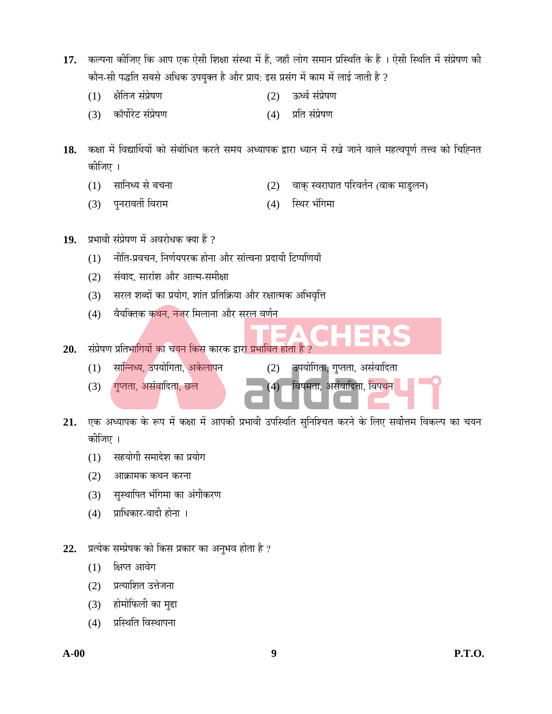- 17. कल्पना कीजिए कि आप एक ऐसी शिक्षा संस्था में हैं, जहाँ लोग समान प्रस्थिति के हैं । ऐसी स्थिति में संप्रेषण की कौन-सी पद्धति सबसे अधिक उपयुक्त है और प्राय: इस प्रसंग में काम में लाई जाती है ?
	- (1) क्षेतिज संप्रेषण (2) ऊर्ध्व संप्रेषण
	- (3) कॉर्पोरेट संप्रेषण (4) प्रति संप्रेषण

18. कक्षा में विद्यार्थियों को संबोधित करते समय अध्यापक द्वारा ध्यान में रखे जाने वाले महत्वपूर्ण तत्त्व को चिह्नित कोजिए ।

- (1) सानिध्य से बचना (2) वाक् स्वराघात परिवर्तन (वाक माडुलन)
- (3) पनरावर्ती विराम (4) स्थिर भंगिमा
- 19. प्रभावी संप्रेषण में अवरोधक क्या हैं ?
	- (1) नीति-प्रवचन, निर्णयपरक होना और सांत्वना प्रदायी टिप्पणियाँ
	- (2) संवाद, सारांश और आत्म-समीक्षा
	- (3) सरल शब्दों का प्रयोग, शांत प्रतिक्रिया और रक्षात्मक अभिवृत्ति
	- (4) वैयक्तिक कथन, नजर मिलाना और सरल वर्णन
- 20. संप्रेषण प्रतिभागियों का चयन किस कारक द्वार<mark>ा प्रभावित होता है</mark> ?
	-
	- $(3)$  (गुप्तता, असंवादिता, छल $(4)$  विषमता, असंवादिता, विपथन
	- (1) सान्निध्य, उपयोगिता, अकेलापन (2) उपयोगिता, गुप्तता, असंवादिता
- 21. एक अध्यापक के रूप में कक्षा में आपकी प्रभावी उपस्थिति सुनिश्चित करने के लिए सर्वोत्तम विकल्प का चयन कोजिए ।
	- (1) सहयोगी समादेश का प्रयोग
	- (2) आक्रामक कथन करना
	- (3) सुस्थापित भंगिमा का अंगीकरण
	- (4) प्राधिकार-वादी होना ।
- 22. प्रत्येक सम्प्रेषक को किस प्रकार का अनुभव होता है ?
	- $(1)$  क्षिप्त आवेग
	- $(2)$  प्रत्याशित उत्तेजना
	- (3) होमोफिली का मुद्दा
	- (4) प्रस्थिति विस्थापना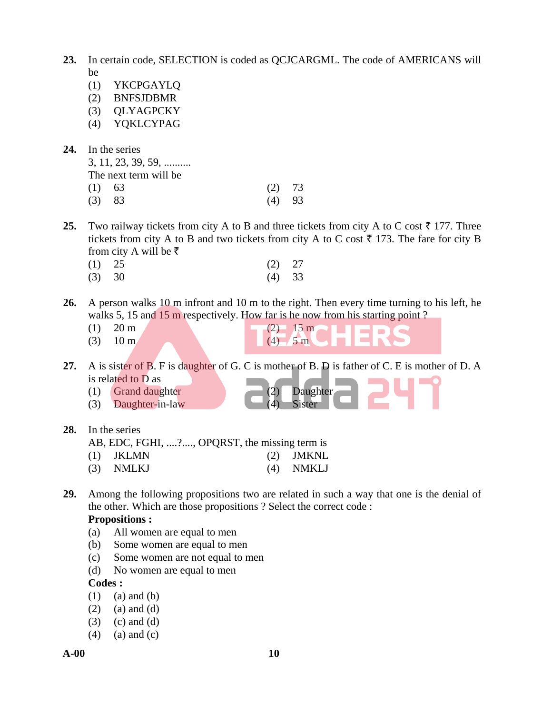- **23.** In certain code, SELECTION is coded as QCJCARGML. The code of AMERICANS will be
	- (1) YKCPGAYLQ
	- (2) BNFSJDBMR
	- (3) QLYAGPCKY
	- (4) YQKLCYPAG
- **24.** In the series

 3, 11, 23, 39, 59, .......... The next term will be

- 
- (1) 63 (2) 73 (3) 83 (4) 93
- **25.** Two railway tickets from city A to B and three tickets from city A to C cost  $\bar{\tau}$  177. Three tickets from city A to B and two tickets from city A to C cost  $\bar{\tau}$  173. The fare for city B from city A will be  $\bar{\tau}$ 
	- (1) 25 (2) 27 (3) 30 (4) 33
- **26.** A person walks 10 m infront and 10 m to the right. Then every time turning to his left, he walks 5, 15 and 15 m respectively. How far is he now from his starting point?
	-
	-
	- (1) 20 m (2)  $15 \text{ m}$ (3)  $10 \text{ m}$  (4)  $5 \text{ m}$
- **27.** A is sister of B. F is daughter of G. C is mother of B. D is father of C. E is mother of D. A is related to D as
	- (1) Grand daughter (2) Daughter
	- $(3)$  Daughter-in-law
- **28.** In the series
	- AB, EDC, FGHI, ....?...., OPQRST, the missing term is
	- (1) JKLMN (2) JMKNL
	- (3) NMLKJ (4) NMKLJ
- **29.** Among the following propositions two are related in such a way that one is the denial of the other. Which are those propositions ? Select the correct code :

#### **Propositions :**

- (a) All women are equal to men
- (b) Some women are equal to men
- (c) Some women are not equal to men
- (d) No women are equal to men

#### **Codes :**

- $(1)$   $(a)$  and  $(b)$
- $(2)$  (a) and (d)
- $(3)$   $(c)$  and  $(d)$
- $(4)$  (a) and (c)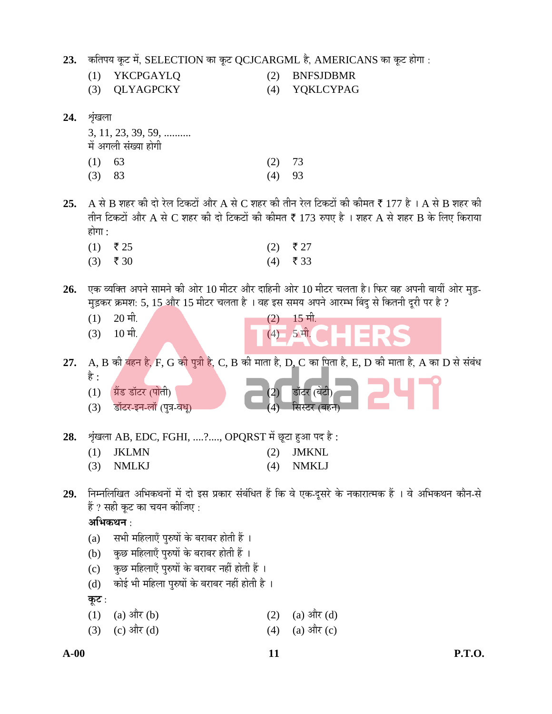- 23. कतिपय कूट में, SELECTION का कूट QCJCARGML है, AMERICANS का कूट होगा :
	- (1) YKCPGAYLQ (2) BNFSJDBMR
	- (3) QLYAGPCKY (4) YQKLCYPAG
- **24.** श्रृंखला
	- 3, 11, 23, 39, 59, .......... में अगली संख्या होगी
	- (1)  $63$  (2) 73 (3) 83 (4) 93
- **25.** A से B शहर की दो रेल टिकटों और A से C शहर की तीन रेल टिकटों की कीमत ₹ 177 है । A से B शहर की तीन टिकटों और A से  $C$  शहर की दो टिकटों की कीमत ₹ 173 रुपए है । शहर A से शहर B के लिए किराया होगा $\cdot$ 
	- $(1)$  ₹25 (2) ₹27  $(3)$  ₹ 30 (4) ₹ 33
- 26. vक व्यक्ति अपने सामने की ओर 10 मीटर और दाहिनी ओर 10 मीटर चलता है। फिर वह अपनी बायीं ओर मुड़-मुड़कर क्रमश: 5, 15 और 15 मीटर चलता है । वह इस समय अपने आरम्भ बिंदु से कितनी दूरी पर है ?
	- $(1)$   $20 \text{ H}$ .  $(2)$   $15 \text{ H}$ .
	- $(3)$  10  $\overline{u}$ ,  $(4)$  5  $\overline{u}$ .

27. A, B की बहन है, F, G की पुत्री है, C, B की माता है, D, C का पिता है, E, D की माता है, A का D से संबंध

- Æî :  $(1)$   $\overrightarrow{y}$ ंड डॉटर (पोती)  $(2)$  डॉटर (बेटी) (3) डॉटर-इन-लॉ (पुत्र-वधु)
- 28. शृंखला AB, EDC, FGHI, ....?...., OPQRST में छूटा हुआ पद है:
	- (1) JKLMN (2) JMKNL (3) NMLKJ (4) NMKLJ
	-
- 29. Fiम्नलिखित अभिकथनों में दो इस प्रकार संबंधित हैं कि वे एक-दुसरे के नकारात्मक हैं । वे अभिकथन कौन-से हैं ? सही कुट का चयन कीजिए :

अभिकथन<sup>ः</sup>

- (a) सभी महिलाएँ पुरुषों के बराबर होती हैं ।
- (b) कुछ महिलाएँ पुरुषों के बराबर होती हैं ।
- (c) कुछ महिलाएँ पुरुषों के बराबर नहीं होती हैं ।
- (d) व्होई भी महिला पुरुषों के बराबर नहीं होती है)।

<u>क</u>ृट :

- (1) (a)  $3\ddot{R}$  (b) (2) (a)  $3\dot{R}$  (d)
- (3) (c)  $\frac{d}{dt}$  (d) (4) (a)  $\frac{d}{dt}$  (c)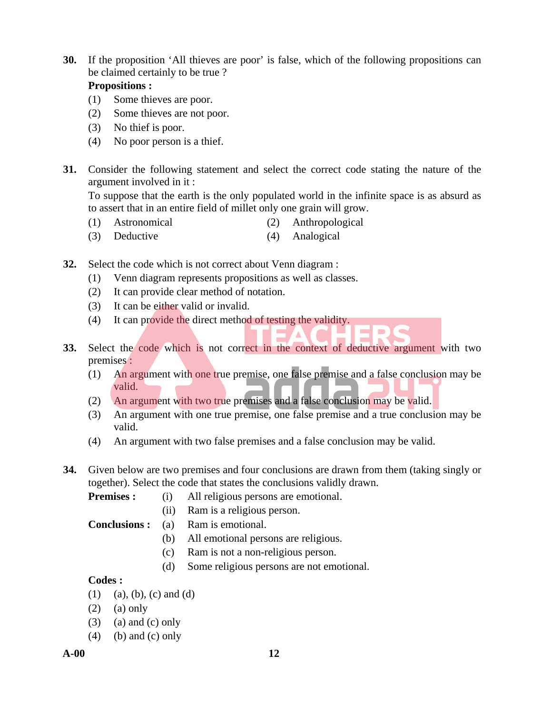**30.** If the proposition 'All thieves are poor' is false, which of the following propositions can be claimed certainly to be true ?

# **Propositions :**

- (1) Some thieves are poor.
- (2) Some thieves are not poor.
- (3) No thief is poor.
- (4) No poor person is a thief.
- **31.** Consider the following statement and select the correct code stating the nature of the argument involved in it :

 To suppose that the earth is the only populated world in the infinite space is as absurd as to assert that in an entire field of millet only one grain will grow.

- (1) Astronomical (2) Anthropological
- (3) Deductive (4) Analogical
- **32.** Select the code which is not correct about Venn diagram :
	- (1) Venn diagram represents propositions as well as classes.
	- (2) It can provide clear method of notation.
	- (3) It can be either valid or invalid.
	- (4) It can provide the direct method of testing the validity.
- **33.** Select the code which is not correct in the context of deductive argument with two premises :
	- (1) An argument with one true premise, one false premise and a false conclusion may be valid.

 $\sim$ 

- (2) An argument with two true premises and a false conclusion may be valid.
- (3) An argument with one true premise, one false premise and a true conclusion may be valid.
- (4) An argument with two false premises and a false conclusion may be valid.
- **34.** Given below are two premises and four conclusions are drawn from them (taking singly or together). Select the code that states the conclusions validly drawn.

**Premises :** (i) All religious persons are emotional.

- (ii) Ram is a religious person.
- **Conclusions :** (a) Ram is emotional.
	- (b) All emotional persons are religious.
	- (c) Ram is not a non-religious person.
	- (d) Some religious persons are not emotional.

# **Codes :**

- $(1)$  (a), (b), (c) and (d)
- $(2)$  (a) only
- $(3)$  (a) and  $(c)$  only
- $(4)$  (b) and (c) only

**A-00 12**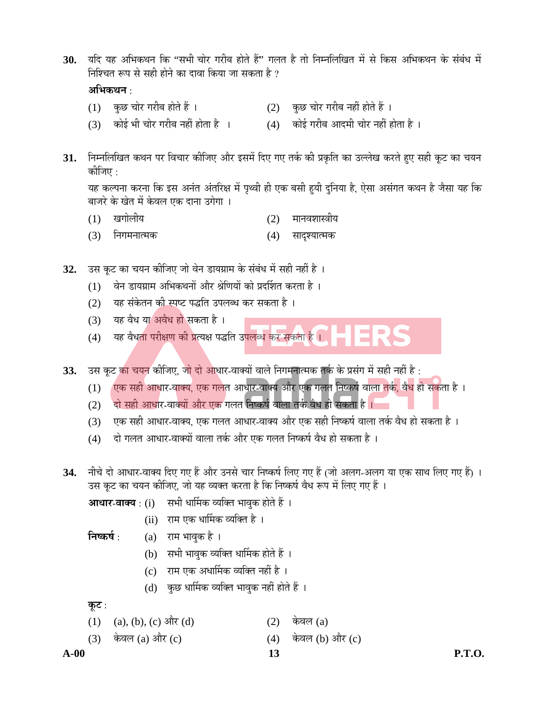30. यदि यह अभिकथन कि ''सभी चोर गरीब होते हैं'' गलत है तो निम्नलिखित में से किस अभिकथन के संबंध में निश्चित रूप से सही होने का दावा किया जा सकता है ?

# अभिकथन **:**

- $(1)$  कुछ चोर गरीब होते हैं ।  $(2)$  कुछ चोर गरीब नहीं होते हैं ।
- $(3)$  कोई भी चोर गरीब नहीं होता है ।  $(4)$  कोई गरीब आदमी चोर नहीं होता है ।
- 
- 31. Fiम्नलिखित कथन पर विचार कीजिए और इसमें दिए गए तर्क की प्रकृति का उल्लेख करते हुए सही कूट का चयन कोजिए  $\cdot$

यह कल्पना करना कि इस अनंत अंतरिक्ष में पृथ्वी ही एक बसी हयी दुनिया है, ऐसा असंगत कथन है जैसा यह कि बाजरे के खेत में केवल एक दाना उगेगा ।

- (1) खगोलीय (2) मानवशास्त्रीय
- (3) निगमनात्मक (4) सादृश्यात्मक
- 32. उस कूट का चयन कीजिए जो वेन डायग्राम के संबंध में सही नहीं है ।
	- (1) वेन डायग्राम अभिकथनों और श्रेणियों को प्रदर्शित करता है)।
	- (2) यह संकेतन की स्पष्ट पद्धति उपलब्ध कर सकता है ।
	- $(3)$  यह वैध या अवैध हो सकता है।
	- (4) यह वैधता परीक्षण की प्रत्यक्ष पद्धति उपलब्ध क<mark>र सकता है</mark> ।
- 33. उस कूट <mark>का चयन</mark> कीजिए, जो दो आधार-वाक्यों वाले निगमनात्मक तर्क के प्रसंग में सही नहीं है :
	- $(1)$  ं एक सही आधार-वाक्य, एक गलत आधार-वाक्य और एक गलत निष्कर्ष वाला तर्क, वैध हो सकता है ।
	- (2) दो सही आधार-वाक्यों और एक गलत निष्कर्ष वाला तर्क वैध हो सकता है ।
	- (3) एक सही आधार-वाक्य, एक गलत आधार-वाक्य और एक सही निष्कर्ष वाला तर्क वैध हो सकता है ।
	- (4) दो गलत आधार-वाक्यों वाला तर्क और एक गलत निष्कर्ष वैध हो सकता है ।
- 34. नीचे दो आधार-वाक्य दिए गए हैं और उनसे चार निष्कर्ष लिए गए हैं (जो अलग-अलग या एक साथ लिए गए हैं) । उस कूट का चयन कीजिए, जो यह व्यक्त करता है कि निष्कर्ष वैध रूप में लिए गए हैं ।
	- **आधार-वाक्य** : (i) सभी धार्मिक व्यक्ति भावुक होते हैं ।
		- (ii) राम एक धार्मिक व्यक्ति है ।

**निष्कर्ष** : (a) राम भावुक है ।

- (b) सभी भावुक व्यक्ति धार्मिक होते हैं ।
- (c) राम एक अधार्मिक व्यक्ति नहीं है ।
- (d) कुछ धार्मिक व्यक्ति भावुक नहीं होते हैं ।

<u>क</u>ूट :

- (1) (a), (b), (c) और (d) (2) केवल (a)
- (3) केवल (a) और (c)  $(4)$  केवल (b) और (c)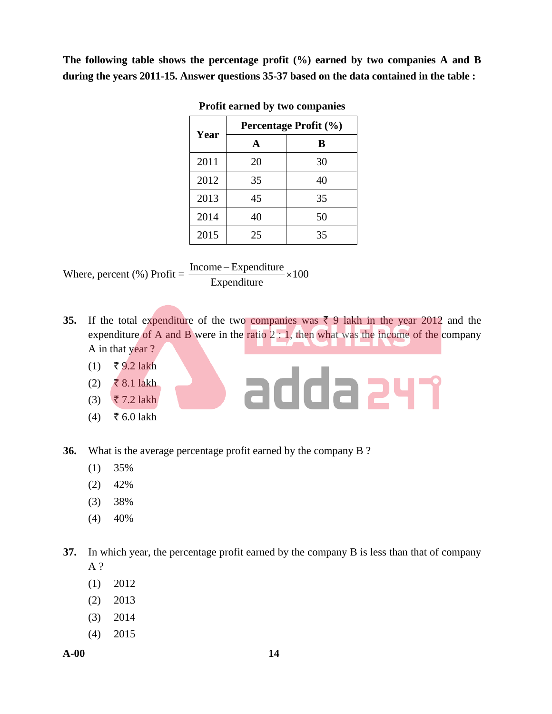**The following table shows the percentage profit (%) earned by two companies A and B during the years 2011-15. Answer questions 35-37 based on the data contained in the table :** 

|      |    | Percentage Profit (%) |  |  |
|------|----|-----------------------|--|--|
| Year | A  | B                     |  |  |
| 2011 | 20 | 30                    |  |  |
| 2012 | 35 | 40                    |  |  |
| 2013 | 45 | 35                    |  |  |
| 2014 | 40 | 50                    |  |  |
| 2015 | 25 | 35                    |  |  |

**Profit earned by two companies** 

Where, percent  $\left(\% \right)$  Profit =  $\frac{\text{mean}}{\sqrt{1-\frac{1}{2}}}\times 100$ Expenditure  $\frac{\text{Income} - \text{Expenditure}}{\text{Expenditure}} \times$ 

**35.** If the total expenditure of the two companies was  $\bar{\tau}$  9 lakh in the year 2012 and the expenditure of A and B were in the ratio  $2:1$ , then what was the income of the company A in that year ?

adda 247

- $(1)$  ₹ 9.2 lakh
- (2) ₹ 8.1 lakh
- $(3)$   $\overline{5}$  7.2 lakh
- $(4)$  ₹ 6.0 lakh

**36.** What is the average percentage profit earned by the company B ?

- (1) 35%
- $(2)$  42%
- (3) 38%
- $(4)$  40%

**37.** In which year, the percentage profit earned by the company B is less than that of company A ?

- (1) 2012
- (2) 2013
- (3) 2014
- (4) 2015

**A-00 14**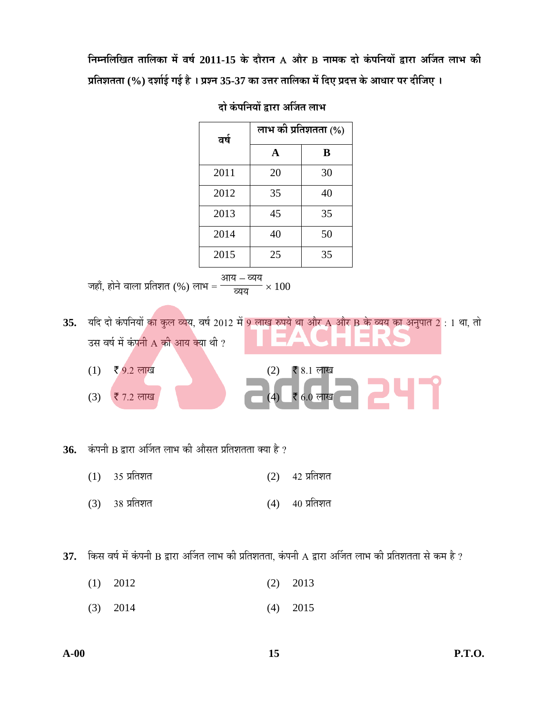$\overline{B}$ म्नलिखित तालिका में वर्ष 2011-15 के दौरान A और B नामक दो कंपनियों द्वारा अर्जित लाभ की **¯ÖÏןֿ֟֟ÖÖ (%) ¤¿ÖÖÔ‡Ô ÝÖ‡Ô Æî … ¯ÖÏ¿®Ö 35-37 Û Ö ˆ¢Ö¸ ŸÖÖ×»ÖÛ Ö ´Öë פ‹ ¯ÖϤ¢Ö Ûê †Ö¬ÖÖ¸ ¯Ö¸ ¤ßו֋ …** 

| वर्ष | लाभ की प्रतिशतता (%) |    |  |  |
|------|----------------------|----|--|--|
|      | A                    | B  |  |  |
| 2011 | 20                   | 30 |  |  |
| 2012 | 35                   | 40 |  |  |
| 2013 | 45                   | 35 |  |  |
| 2014 | 40                   | 50 |  |  |
| 2015 | 25                   | 35 |  |  |

# <u>दो कंपनियों द्वारा अर्जित लाभ</u>

जहाँ, होने वाला प्रतिशत (%) लाभ = आय – <mark>व्यय</mark> <u>व्यय</u> $\overline{u} \times 100$ 

35. यदि दो कंपनियों <mark>का कुल व्य</mark>य, वर्ष 2012 में 9 लाख रुपये था और A और B के व्यय का अनुपात 2 : 1 था, तो उस वर्ष में कंपनी  $\overline{A}$  की आय क्या थी ?

- $(1)$  ₹ 9.2 लाख (2) ₹ 8.1 लाख
- $(3)$  ₹ 7.2 लाख (4) ₹ 6.0 लाख

36. कंपनी B द्वारा अर्जित लाभ की औसत प्रतिशतता क्या है ?

- $(1)$  35 प्रतिशत  $(2)$  42 प्रतिशत
- $(3)$  38 प्रतिशत  $(4)$  40 प्रतिशत

37. किस वर्ष में कंपनी B द्वारा अर्जित लाभ की प्रतिशतता, कंपनी A द्वारा अर्जित लाभ की प्रतिशतता से कम है ?

- (1) 2012 (2) 2013
	- (3) 2014 (4) 2015

247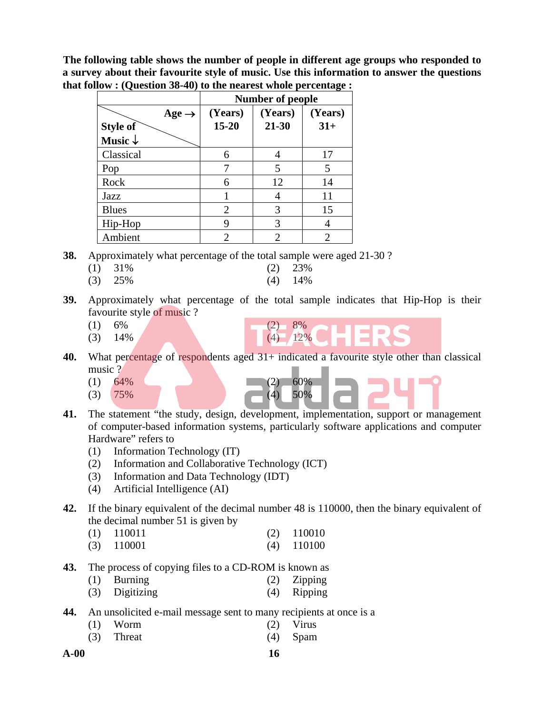**The following table shows the number of people in different age groups who responded to a survey about their favourite style of music. Use this information to answer the questions that follow : (Question 38-40) to the nearest whole percentage :** 

|                    | ິ<br><b>Number of people</b> |         |         |  |  |  |
|--------------------|------------------------------|---------|---------|--|--|--|
| Age $\rightarrow$  | (Years)                      | (Years) | (Years) |  |  |  |
| <b>Style of</b>    | $15 - 20$                    | 21-30   | $31+$   |  |  |  |
| Music $\downarrow$ |                              |         |         |  |  |  |
| Classical          | 6                            |         | 17      |  |  |  |
| Pop                |                              | 5       | 5       |  |  |  |
| Rock               | 6                            | 12      | 14      |  |  |  |
| Jazz               |                              |         | 11      |  |  |  |
| <b>Blues</b>       | 2                            | 3       | 15      |  |  |  |
| Hip-Hop            | 9                            | 3       |         |  |  |  |
| Ambient            | 2                            | 2       |         |  |  |  |

**38.** Approximately what percentage of the total sample were aged 21-30 ?

- (1) 31% (2) 23%
- (3) 25% (4) 14%
- **39.** Approximately what percentage of the total sample indicates that Hip-Hop is their favourite style of music ?
- $(1)$  6% (2) 8%
	- $(3)$  14% (4) 12%
- 40. What percentage of respondents aged 31+ indicated a favourite style other than classical music ?
- $(1)$  64% (2) 60%
- $(3)$  75% (4) 50%
- **41.** The statement "the study, design, development, implementation, support or management of computer-based information systems, particularly software applications and computer Hardware" refers to
	- (1) Information Technology (IT)
	- (2) Information and Collaborative Technology (ICT)
	- (3) Information and Data Technology (IDT)
	- (4) Artificial Intelligence (AI)
- **42.** If the binary equivalent of the decimal number 48 is 110000, then the binary equivalent of the decimal number 51 is given by
- (1) 110011 (2) 110010
	- (3) 110001 (4) 110100
- **43.** The process of copying files to a CD-ROM is known as
	- (1) Burning (2) Zipping
	- (3) Digitizing (4) Ripping
- **44.** An unsolicited e-mail message sent to many recipients at once is a
	- (1) Worm (2) Virus
	- (3) Threat (4) Spam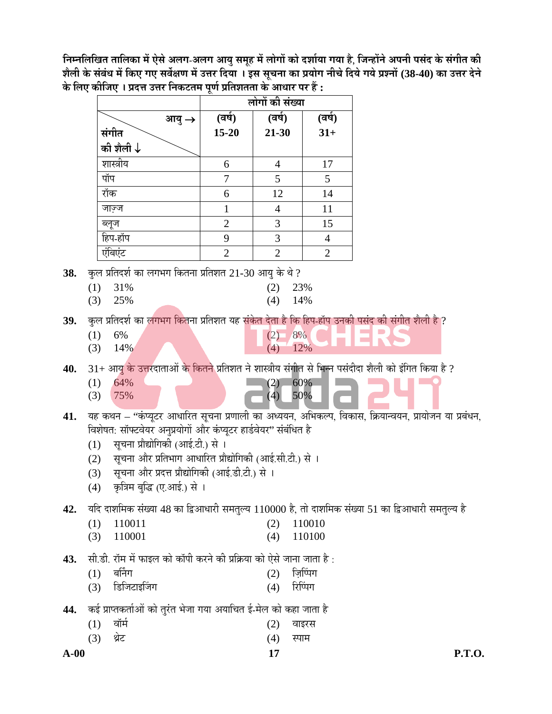निम्नलिखित तालिका में ऐसे अलग-अलग आयु समूह में लोगों को दर्शाया गया है, जिन्होंने अपनी पसंद के संगीत की **¿Öî»Öß Ûê ÃÖÓ²ÖÓ¬Ö ´Öë ×Û ‹ ÝÖ‹ ÃÖ¾ÖìõÖÞÖ ´Öë ˆ¢Ö¸ פµÖÖ … ‡ÃÖ ÃÖæ"Ö®ÖÖ Û Ö ¯ÖϵÖÖêÝÖ ®Öß"Öê פµÖê ÝÖµÖê ¯ÖÏ¿®ÖÖë (38-40) Û Ö ˆ¢Ö¸ ¤ê®Öê**  <u>के लिए कीजिए । प्रदत्त उत्तर निकटतम पूर्ण प्रतिशतता के आधार पर हैं :</u>

|                      | $\sim$         | लोगों की संख्या |                |
|----------------------|----------------|-----------------|----------------|
| आयु $\rightarrow$    | (वर्ष)         | (वर्ष)          | (वर्ष)         |
| संगीत                | $15 - 20$      | $21 - 30$       | $31+$          |
| की शैली $\downarrow$ |                |                 |                |
| शास्त्रीय            | 6              | 4               | 17             |
| पॉप                  |                | 5               | 5              |
| रॉक                  | 6              | 12              | 14             |
| जाज़्ज               |                |                 | 11             |
| ब्लूज                | $\overline{2}$ | 3               | 15             |
| हिप-हॉप              | 9              | 3               | 4              |
| एंबिएंट              | $\overline{2}$ | $\overline{2}$  | $\overline{2}$ |

**38.** कल प्रतिदर्श का लगभग कितना प्रतिशत 21-30 आयु के थे ?

- (1) 31% (2) 23%
- (3) 25% (4) 14%

39. कुल प्रतिदर्श का लगभग कितना प्रतिशत यह संकेत देता है कि हिप-हॉप उनकी पसंद की संगीत शैली है ?

- (1)  $6\%$  (2)  $8\%$
- (3)  $14\%$  (4)  $12\%$

40. 31+ आयु <mark>के उत्त</mark>रदाताओं क<mark>े कितने प्रतिशत ने शास्त्रीय संगीत से भिन्न पसंदीदा शैली को इंगित किया है ?</mark>

- $(1)$  64% (2) 60% (3) 75% (4) 50%
- 41. यह कथन "कंप्यूटर आधारित सूचना प्रणाली का अध्ययन, अभिकल्प, विकास, क्रियान्वयन, प्रायोजन या प्रबंधन, विशेषत: सॉफ्टवेयर अनुप्रयोगों और कंप्यूटर हार्डवेयर" संबंधित है
	- (1) सूचना प्रौद्योगिकी (आई.टी.) से ।
	- (2) सूचना और प्रतिभाग आधारित प्रौद्योगिकी (आई.सी.टी.) से ।
	- (3) सूचना और प्रदत्त प्रौद्योगिकी (आई.डी.टी.) से ।
	- (4) कृत्रिम बुद्धि (ए.आई.) से ।

42. यदि दाशमिक संख्या 48 का द्विआधारी समतुल्य 110000 है, तो दाशमिक संख्या 51 का द्विआधारी समतुल्य है

- (1) 110011 (2) 110010
- (3) 110001 (4) 110100

43. सी.डी. रॉम में फाइल को कॉपी करने की प्रक्रिया को ऐसे जाना जाता है :

- $(1)$  बर्निंग  $(2)$  जि़प्पिंग
- (3) डिजिटाइजिंग (4) रिप्पिंग
- 44. कई प्राप्तकर्ताओं को तुरंत भेजा गया अयाचित ई-मेल को कहा जाता है
- (1) वॉर्म<br>
(2) वाइरस
- (3) थ्रेट (4) स्पाम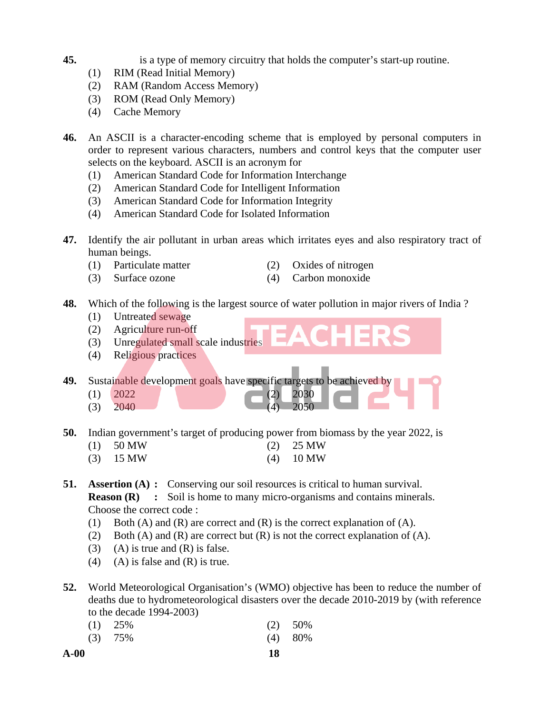**45.** is a type of memory circuitry that holds the computer's start-up routine.

- (1) RIM (Read Initial Memory)
- (2) RAM (Random Access Memory)
- (3) ROM (Read Only Memory)
- (4) Cache Memory
- **46.** An ASCII is a character-encoding scheme that is employed by personal computers in order to represent various characters, numbers and control keys that the computer user selects on the keyboard. ASCII is an acronym for
	- (1) American Standard Code for Information Interchange
	- (2) American Standard Code for Intelligent Information
	- (3) American Standard Code for Information Integrity
	- (4) American Standard Code for Isolated Information
- **47.** Identify the air pollutant in urban areas which irritates eyes and also respiratory tract of human beings.
	- (1) Particulate matter (2) Oxides of nitrogen
		-
- 
- (3) Surface ozone (4) Carbon monoxide
- **48.** Which of the following is the largest source of water pollution in major rivers of India ?
	- (1) Untreated sewage
	- (2) Agriculture run-off
	- (3) Unregulated small scale industries
	- (4) Religious practices
- **49.** Sustainable development goals have specific targets to be achieved by
- $(1)$  2022 (2) 2030
- $(3)$  2040  $(4)$  2050
- **50.** Indian government's target of producing power from biomass by the year 2022, is
	- (1) 50 MW (2) 25 MW
	- (3) 15 MW (4) 10 MW
- **51. Assertion (A) :** Conserving our soil resources is critical to human survival. **Reason (R)** : Soil is home to many micro-organisms and contains minerals. Choose the correct code :
	- (1) Both (A) and (R) are correct and (R) is the correct explanation of (A).
	- (2) Both (A) and (R) are correct but (R) is not the correct explanation of (A).
	- (3) (A) is true and  $(R)$  is false.
	- (4) (A) is false and  $(R)$  is true.
- **52.** World Meteorological Organisation's (WMO) objective has been to reduce the number of deaths due to hydrometeorological disasters over the decade 2010-2019 by (with reference to the decade 1994-2003)
	- (1) 25% (2) 50% (3) 75% (4) 80%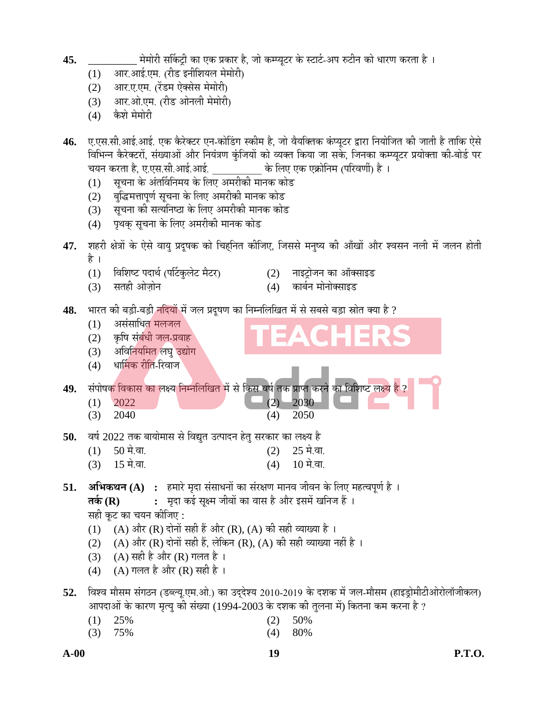- **45.** \_\_\_\_\_\_\_\_\_ ´Öê´ÖÖê¸ß ÃÖÙÛ ™Òß Û Ö ‹Û ¯ÖÏÛ Ö¸ Æî, •ÖÖê Û ´¯µÖ晸 Ûê Ù֙Ô-†¯Ö ¹ ™ß®Ö Û Öê ¬ÖÖ¸ÞÖ Û ¸ŸÖÖ Æî …
	- (1) आर.आई.एम. (रीड इनीशियल मेमोरी)
	- (2) आर.ए.एम. (रेंडम ऐक्सेस मेमोरी)
	- (3) आर.ओ.एम. (रीड ओनली मेमोरी)
	- (4) कैशे मेमोरी
- **46.** ए.एस.सी.आई.आई. एक कैरेक्टर एन-कोडिंग स्कीम है, जो वैयक्तिक कंप्यूटर द्वारा नियोजित की जाती है ताकि ऐसे विभिन्न कैरेक्टरों, संख्याओं और नियंत्रण कुंजियों को व्यक्त किया जा सके, जिनका कम्प्यूटर प्रयोक्ता की-बोर्ड पर "चयन करता है, ए.एस.सी.आई.आई. के लिए एक एक्रोनिम (परिवर्णी) है ।
	- (1) सुचना के अंतर्विनिमय के लिए अमरीकी मानक कोड
	- (2) बुद्धिमत्तापूर्ण सूचना के लिए अमरीकी मानक कोड
	- (3) सूचना की सत्यनिष्ठा के लिए अमरीकी मानक कोड
	- (4) पृथक् सूचना के लिए अमरीकी मानक कोड
- 47. शहरी क्षेत्रों के ऐसे वायु प्रदूषक को चिहनित कीजिए, जिससे मनुष्य की आँखों और श्वसन नली में जलन होती है ।
	- (1) विशिष्ट पदार्थ (पर्टिकुलेट मैटर) (2) नाइट्रोजन का ऑक्साइड
		-
	- (3) ÃÖŸÖÆß †Öê•ÖÌÖê®Ö (4) Û Ö²ÖÔ®Ö ´ÖÖê®ÖÖêŒÃÖÖ‡›
		-

# 48. भारत की बड़ी-बड़ी <mark>नदियों में जल प्रदूषण का निम्नलिखित में से सबसे बड़ा स्रोत क्या है ?</mark>

- $(1)$  असंसाधित मलजल (2) कृषि संबंधी जल-प्रवाह (3) अविनियमित लघु उद्योग (4) धार्मिक रीति-रिवाज 49. संपोषक विकास का लक्ष्य निम्नलिखित में से किस वर्ष तक प्राप्त करने का विशिष्ट लक्ष्य है  $(1)$  2022 (2) 2030 (3) 2040 (4) 2050 50. वर्ष 2022 तक बायोमास से विद्युत उत्पादन हेतु सरकार का लक्ष्य है  $(1)$  50 मे.बा. (2) 25 मे.बा.  $(3)$  15 मे.बा. (4) 10 मे.बा. **51. अभिकथन (A) :** हमारे मृदा संसाधनों का संरक्षण मानव जीवन के लिए महत्वपूर्ण है । **तर्क (R) :** मदा कई सुक्ष्म जीवों का वास है और इसमें खनिज हैं । सही कूट का चयन कीजिए :  $(1)$   $(A)$  और  $(R)$  दोनों सही हैं और  $(R)$ ,  $(A)$  की सही व्याख्या है । (2) (A) और (R) दोनों सही हैं, लेकिन (R), (A) की सही व्याख्या नहीं है ।
	- (3)  $(A)$  सही है और  $(R)$  गलत है ।
	- (4)  $(A)$  गलत है और (R) सही है ।
- 52. विश्व मौसम संगठन (डब्ल्यू.एम.ओ.) का उदुदेश्य 2010-2019 के दशक में जल-मौसम (हाइड्रोमीटीओरोलॉजीकल) आपदाओं के कारण मृत्यु की संख्या (1994-2003 के दशक की तुलना में) कितना कम करना है ?
- (1) 25% (2) 50%
- (3) 75% (4) 80%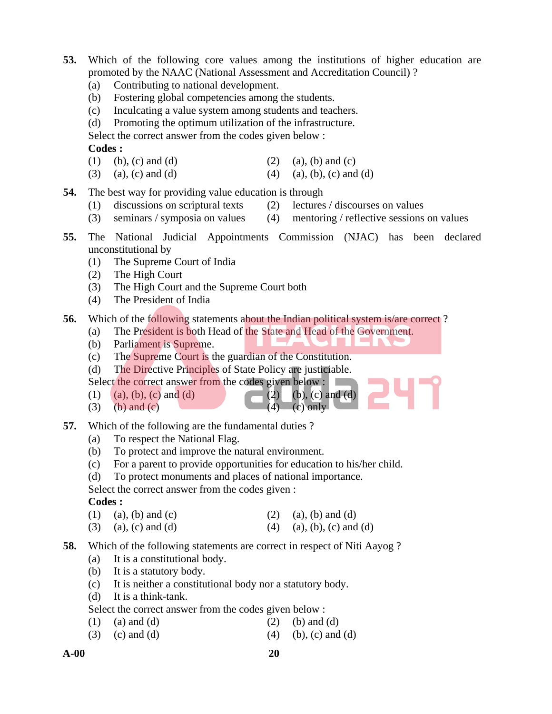- **53.** Which of the following core values among the institutions of higher education are promoted by the NAAC (National Assessment and Accreditation Council) ?
	- (a) Contributing to national development.
	- (b) Fostering global competencies among the students.
	- (c) Inculcating a value system among students and teachers.
	- (d) Promoting the optimum utilization of the infrastructure.

Select the correct answer from the codes given below :

**Codes :** 

- (1) (b), (c) and (d) (2) (a), (b) and (c)
- (3) (a), (c) and (d) (4) (a), (b), (c) and (d)
- **54.** The best way for providing value education is through
	- (1) discussions on scriptural texts (2) lectures / discourses on values
	- (3) seminars / symposia on values (4) mentoring / reflective sessions on values
- **55.** The National Judicial Appointments Commission (NJAC) has been declared unconstitutional by
	- (1) The Supreme Court of India
	- (2) The High Court
	- (3) The High Court and the Supreme Court both
	- (4) The President of India

### **56.** Which of the following statements about the Indian political system is/are correct?

- (a) The President is both Head of the State and Head of the Government.
- (b) Parliament is Supreme.
- (c) The Supreme Court is the guardian of the Constitution.
- (d) The Directive Principles of State Policy are justiciable.

Select the correct answer from the codes given below :

- (1) (a), (b), (c) and (d) (2) (b), (c) and (d)
- (3) (b) and (c)  $(4)$  (c) only
- 
- **57.** Which of the following are the fundamental duties ?
	- (a) To respect the National Flag.
	- (b) To protect and improve the natural environment.
	- (c) For a parent to provide opportunities for education to his/her child.
	- (d) To protect monuments and places of national importance.

Select the correct answer from the codes given :

# **Codes :**

- (1) (a), (b) and (c) (2) (a), (b) and (d)
- (3) (a), (c) and (d) (4) (a), (b), (c) and (d)
- **58.** Which of the following statements are correct in respect of Niti Aayog ?
	- (a) It is a constitutional body.
	- (b) It is a statutory body.
	- (c) It is neither a constitutional body nor a statutory body.
	- (d) It is a think-tank.

Select the correct answer from the codes given below :

- (1) (a) and (d)  $(2)$  (b) and (d)
- (3) (c) and (d)  $(4)$  (b), (c) and (d)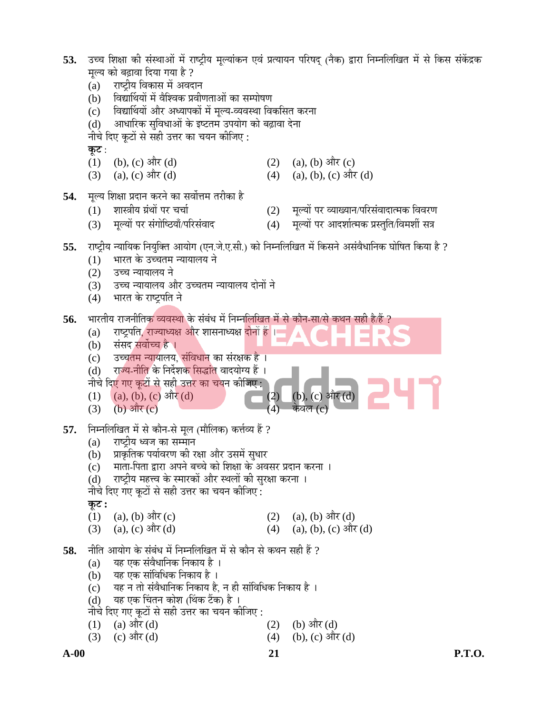| 53. | मूल्य को बढ़ावा दिया गया है ?<br>राष्ट्रीय विकास में अवदान<br>(a)<br>विद्यार्थियों में वैश्विक प्रवीणताओं का सम्पोषण<br>(b)<br>विद्यार्थियों और अध्यापकों में मूल्य-व्यवस्था विकसित करना<br>(c)<br>आधारिक सुविधाओं के इष्टतम उपयोग को बढ़ावा देना<br>(d)<br>नीचे दिए कूटों से सही उत्तर का चयन कीजिए :                                                                                             |                          | उच्च शिक्षा की संस्थाओं में राष्ट्रीय मूल्यांकन एवं प्रत्यायन परिषद् (नैक) द्वारा निम्नलिखित में से किस संकेंद्रक |
|-----|----------------------------------------------------------------------------------------------------------------------------------------------------------------------------------------------------------------------------------------------------------------------------------------------------------------------------------------------------------------------------------------------------|--------------------------|-------------------------------------------------------------------------------------------------------------------|
|     | कूट :<br>(b), (c) और $(d)$<br>(1)<br>(a), (c) और (d)<br>(3)                                                                                                                                                                                                                                                                                                                                        | (2)<br>(4)               | $(a)$ , $(b)$ और $(c)$<br>(a), (b), (c) और (d)                                                                    |
| 54. | मूल्य शिक्षा प्रदान करने का सर्वोत्तम तरीका है<br>शास्त्रीय ग्रंथों पर चर्चा<br>(1)<br>मूल्यों पर संगोष्ठियाँ/परिसंवाद<br>(3)                                                                                                                                                                                                                                                                      | (2)<br>(4)               | मूल्यों पर व्याख्यान/परिसंवादात्मक विवरण<br>मूल्यों पर आदर्शात्मक प्रस्तुति/विमर्शी सत्र                          |
| 55. | भारत के उच्चतम न्यायालय ने<br>(1)<br>उच्च न्यायालय ने<br>(2)<br>उच्च न्यायालय और उच्चतम न्यायालय दोनों ने<br>(3)<br>भारत के राष्ट्रपति ने<br>(4)                                                                                                                                                                                                                                                   |                          | राष्ट्रीय न्यायिक नियुक्ति आयोग (एन.जे.ए.सी.) को निम्नलिखित में किसने असंवैधानिक घोषित किया है ?                  |
| 56. | भारतीय राजनीतिक व्यवस्था के संबंध में निम्नलिखित में से कौन-सा/से कथन सही है/हैं ?<br>राष्ट्रपति, राज्याध्यक्ष और शासनाध्यक्ष दोनों हैं ।<br>(a)<br>संसद सर्वोच्च है ।<br>(b)<br>उच्चतम न्यायालय, संविधान का संरक्षक है ।<br>(c)<br>राज्य-नीति के निर्देशक सिद्धांत वादयोग्य हैं ।<br>(d)<br>नीचे दिए गए कूटों से सही उत्तर का चयन कीजिए :<br>$(a), (b), (c)$ और $(d)$<br>(1)<br>(b) और (c)<br>(3) | (2)<br>$\left( 4\right)$ | (b), (c) और (d)                                                                                                   |
| 57. | निम्नलिखित में से कौन-से मूल (मौलिक) कर्त्तव्य हैं ?<br>राष्ट्रीय ध्वज का सम्मान<br>(a)<br>(b)     प्राकृतिक पर्यावरण की रक्षा और उसमें सुधार<br>माता-पिता द्वारा अपने बच्चे को शिक्षा के अवसर प्रदान करना ।<br>(c)<br>राष्ट्रीय महत्त्व के स्मारकों और स्थलों की सुरक्षा करना ।<br>(d)<br>नीचे दिए गए कूटों से सही उत्तर का चयन कीजिए :<br>कूट :<br>(1)<br>(a), (b) और $(c)$                      |                          | (2) (a), (b) और (d)                                                                                               |
|     | (a), (c) और (d)<br>(3)                                                                                                                                                                                                                                                                                                                                                                             |                          | (4) (a), (b), (c) और (d)                                                                                          |
| 58. | नीति आयोग के संबंध में निम्नलिखित में से कौन से कथन सही हैं ?<br>यह एक संवैधानिक निकाय है ।<br>(a)<br>यह एक सांविधिक निकाय है ।<br>(b)<br>यह न तो संवैधानिक निकाय है, न ही सांविधिक निकाय है ।<br>(c)<br>यह एक चिंतन कोश (थिंक टैंक) है ।<br>(d)<br>नीचे दिए गए कूटों से सही उत्तर का चयन कीजिए :<br>(a) और $(d)$<br>(1)                                                                           | (2)                      | (b) और $(d)$                                                                                                      |

(3) (c)  $\hat{\mathfrak{R}}(d)$  (4) (b), (c)  $\hat{\mathfrak{R}}(d)$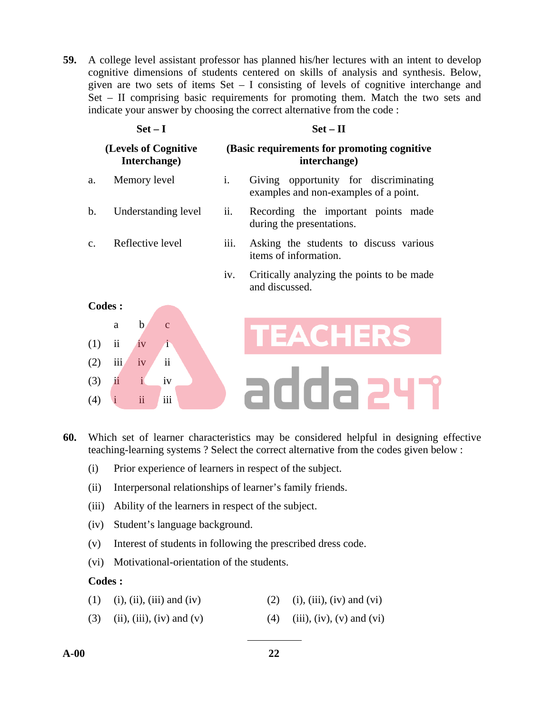**59.** A college level assistant professor has planned his/her lectures with an intent to develop cognitive dimensions of students centered on skills of analysis and synthesis. Below, given are two sets of items  $Set - I$  consisting of levels of cognitive interchange and Set – II comprising basic requirements for promoting them. Match the two sets and indicate your answer by choosing the correct alternative from the code :

|     | $Set-I$                              |                | $Set - II$                                                                     |  |  |  |  |
|-----|--------------------------------------|----------------|--------------------------------------------------------------------------------|--|--|--|--|
|     | (Levels of Cognitive<br>Interchange) |                | (Basic requirements for promoting cognitive)<br>interchange)                   |  |  |  |  |
| a.  | Memory level                         | $\mathbf{i}$ . | Giving opportunity for discriminating<br>examples and non-examples of a point. |  |  |  |  |
| b.  | Understanding level                  | ii.            | Recording the important points made<br>during the presentations.               |  |  |  |  |
| c.  | Reflective level                     | iii.           | Asking the students to discuss various<br>items of information.                |  |  |  |  |
|     |                                      | iv.            | Critically analyzing the points to be made<br>and discussed.                   |  |  |  |  |
|     | Codes:                               |                |                                                                                |  |  |  |  |
| (1) | b<br>a<br>ii                         |                |                                                                                |  |  |  |  |

**60.** Which set of learner characteristics may be considered helpful in designing effective teaching-learning systems ? Select the correct alternative from the codes given below :

adda 247

- (i) Prior experience of learners in respect of the subject.
- (ii) Interpersonal relationships of learner's family friends.
- (iii) Ability of the learners in respect of the subject.
- (iv) Student's language background.
- (v) Interest of students in following the prescribed dress code.
- (vi) Motivational-orientation of the students.

#### **Codes :**

 $(2)$  iii iv ii

 $(3)$  ii i iv  $(4)$  i iiiii

- (1) (i), (ii), (iii) and (iv) (2) (i), (iii), (iv) and (vi)
- (3) (ii), (iii), (iv) and (v) (4) (iii), (iv), (v) and (vi)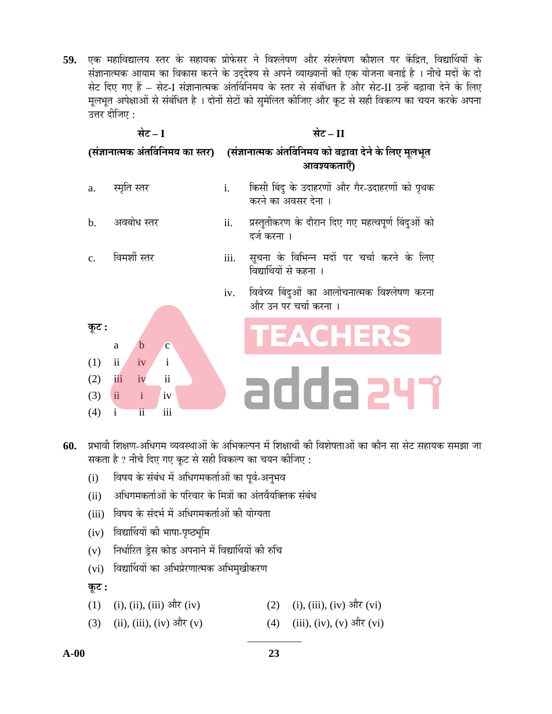59. एक महाविद्यालय स्तर के सहायक प्रोफेसर ने विश्लेषण और संश्लेषण कौशल पर केंद्रित. विद्यार्थियों के संज्ञानात्मक आयाम का विकास करने के उददेश्य से अपने व्याख्यानों की एक योजना बनाई है । नीचे मदों के दो सेट दिए गए हैं – सेट-I संज्ञानात्मक अंतर्विनिमय के स्तर से संबंधित है और सेट-II उन्हें बढ़ावा देने के लिए मूलभूत अपेक्षाओं से संबंधित है । दोनों सेटों को सुमेलित कीजिए और कूट से सही विकल्प का चयन करके अपना उत्तर दीजिए :

| सेट – I        |                                        |      | सेट $ \Pi$                                                                                                 |  |  |
|----------------|----------------------------------------|------|------------------------------------------------------------------------------------------------------------|--|--|
|                |                                        |      | (संज्ञानात्मक अंतर्विनिमय का स्तर) ) (संज्ञानात्मक अंतर्विनिमय को बढ़ावा देने के लिए मूलभूत<br>आवश्यकताएँ) |  |  |
| a.             | स्मृति स्तर                            | i.   | किसी बिंदु के उदाहरणों और गैर-उदाहरणों को पृथक<br>करने का अवसर देना ।                                      |  |  |
| $\mathbf b$ .  | अवबोध स्तर                             | ii.  | प्रस्तुतीकरण के दौरान दिए गए महत्वपूर्ण बिंदुओं को<br>दर्ज करना ।                                          |  |  |
| C <sub>1</sub> | विमर्शी स्तर                           | iii. | सूचना के विभिन्न मदों पर चर्चा करने के लिए<br>विद्यार्थियों से कहना ।                                      |  |  |
|                |                                        | iv.  | विवेच्य बिंदुओं का आलोचनात्मक विश्लेषण करना<br>और उन पर चर्चा करना ।                                       |  |  |
| कूट :          | b<br>a<br>$\mathbf{C}$                 |      | TEACHERS                                                                                                   |  |  |
| (1)            | ii<br>$\mathbf{i}$<br>iv               |      |                                                                                                            |  |  |
| (2)            | $\overline{\mathbf{u}}$<br>iii<br>iv   |      |                                                                                                            |  |  |
| (3)            | ii<br>$\mathbf{i}$<br>iv               |      | adda 24                                                                                                    |  |  |
| (4)            | iii<br>$\mathbf{i}$<br>$\overline{11}$ |      |                                                                                                            |  |  |
|                |                                        |      |                                                                                                            |  |  |

60. प्रभावी शिक्षण-अधिगम व्यवस्थाओं के अभिकल्पन में शिक्षार्थी की विशेषताओं का कौन सा सेट सहायक समझा जा सकता है ? नीचे दिए गए कूट से सही विकल्प का चयन कीजिए :

- (i) विषय के संबंध में अधिगमकर्ताओं का पूर्व-अनुभव
- (ii) अधिगमकर्ताओं के परिवार के मित्रों का अंतर्वेयक्तिक संबंध
- (iii) विषय के संदर्भ में अधिगमकर्ताओं की योग्यता
- (iv) विद्यार्थियों की भाषा-पृष्ठभूमि
- (v) निर्धारित ड्रेस कोड अपनाने में विद्यार्थियों की रुचि
- (vi) विद्यार्थियों का अभिप्रेरणात्मक अभिमुखीकरण

 $\overline{\phi}$ :

- (1) (i), (ii), (iii) और (iv) (2) (i), (iii), (iv) और (vi)
- (3) (ii), (iii), (iv)  $\frac{\partial \mathbf{r}}{\partial x}$  (v) (4) (iii), (iv), (v)  $\frac{\partial \mathbf{r}}{\partial y}$  (vi)